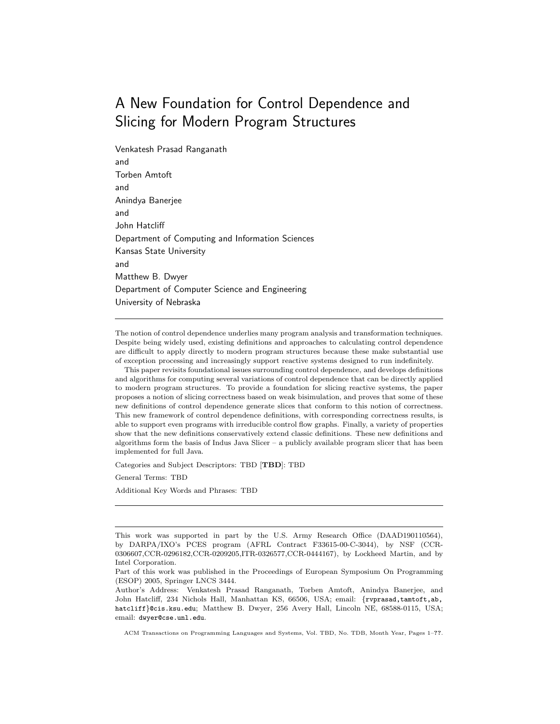# A New Foundation for Control Dependence and Slicing for Modern Program Structures

Venkatesh Prasad Ranganath and Torben Amtoft and Anindya Banerjee and John Hatcliff Department of Computing and Information Sciences Kansas State University and Matthew B. Dwyer Department of Computer Science and Engineering University of Nebraska

The notion of control dependence underlies many program analysis and transformation techniques. Despite being widely used, existing definitions and approaches to calculating control dependence are difficult to apply directly to modern program structures because these make substantial use of exception processing and increasingly support reactive systems designed to run indefinitely.

This paper revisits foundational issues surrounding control dependence, and develops definitions and algorithms for computing several variations of control dependence that can be directly applied to modern program structures. To provide a foundation for slicing reactive systems, the paper proposes a notion of slicing correctness based on weak bisimulation, and proves that some of these new definitions of control dependence generate slices that conform to this notion of correctness. This new framework of control dependence definitions, with corresponding correctness results, is able to support even programs with irreducible control flow graphs. Finally, a variety of properties show that the new definitions conservatively extend classic definitions. These new definitions and algorithms form the basis of Indus Java Slicer – a publicly available program slicer that has been implemented for full Java.

Categories and Subject Descriptors: TBD [TBD]: TBD

General Terms: TBD

Additional Key Words and Phrases: TBD

This work was supported in part by the U.S. Army Research Office (DAAD190110564), by DARPA/IXO's PCES program (AFRL Contract F33615-00-C-3044), by NSF (CCR-0306607,CCR-0296182,CCR-0209205,ITR-0326577,CCR-0444167), by Lockheed Martin, and by Intel Corporation.

Part of this work was published in the Proceedings of European Symposium On Programming (ESOP) 2005, Springer LNCS 3444.

Author's Address: Venkatesh Prasad Ranganath, Torben Amtoft, Anindya Banerjee, and John Hatcliff, 234 Nichols Hall, Manhattan KS, 66506, USA; email: {rvprasad,tamtoft,ab, hatcliff}@cis.ksu.edu; Matthew B. Dwyer, 256 Avery Hall, Lincoln NE, 68588-0115, USA; email: dwyer@cse.unl.edu.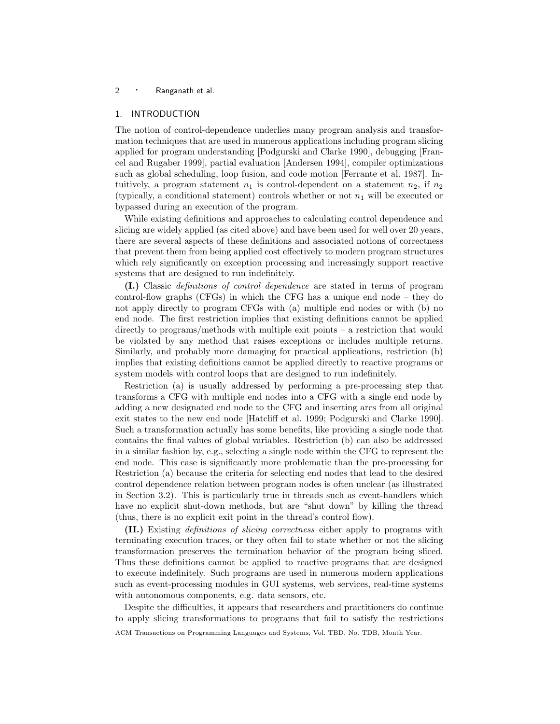## 1. INTRODUCTION

The notion of control-dependence underlies many program analysis and transformation techniques that are used in numerous applications including program slicing applied for program understanding [Podgurski and Clarke 1990], debugging [Francel and Rugaber 1999], partial evaluation [Andersen 1994], compiler optimizations such as global scheduling, loop fusion, and code motion [Ferrante et al. 1987]. Intuitively, a program statement  $n_1$  is control-dependent on a statement  $n_2$ , if  $n_2$ (typically, a conditional statement) controls whether or not  $n_1$  will be executed or bypassed during an execution of the program.

While existing definitions and approaches to calculating control dependence and slicing are widely applied (as cited above) and have been used for well over 20 years, there are several aspects of these definitions and associated notions of correctness that prevent them from being applied cost effectively to modern program structures which rely significantly on exception processing and increasingly support reactive systems that are designed to run indefinitely.

(I.) Classic definitions of control dependence are stated in terms of program control-flow graphs (CFGs) in which the CFG has a unique end node – they do not apply directly to program CFGs with (a) multiple end nodes or with (b) no end node. The first restriction implies that existing definitions cannot be applied directly to programs/methods with multiple exit points – a restriction that would be violated by any method that raises exceptions or includes multiple returns. Similarly, and probably more damaging for practical applications, restriction (b) implies that existing definitions cannot be applied directly to reactive programs or system models with control loops that are designed to run indefinitely.

Restriction (a) is usually addressed by performing a pre-processing step that transforms a CFG with multiple end nodes into a CFG with a single end node by adding a new designated end node to the CFG and inserting arcs from all original exit states to the new end node [Hatcliff et al. 1999; Podgurski and Clarke 1990]. Such a transformation actually has some benefits, like providing a single node that contains the final values of global variables. Restriction (b) can also be addressed in a similar fashion by, e.g., selecting a single node within the CFG to represent the end node. This case is significantly more problematic than the pre-processing for Restriction (a) because the criteria for selecting end nodes that lead to the desired control dependence relation between program nodes is often unclear (as illustrated in Section 3.2). This is particularly true in threads such as event-handlers which have no explicit shut-down methods, but are "shut down" by killing the thread (thus, there is no explicit exit point in the thread's control flow).

(II.) Existing definitions of slicing correctness either apply to programs with terminating execution traces, or they often fail to state whether or not the slicing transformation preserves the termination behavior of the program being sliced. Thus these definitions cannot be applied to reactive programs that are designed to execute indefinitely. Such programs are used in numerous modern applications such as event-processing modules in GUI systems, web services, real-time systems with autonomous components, e.g. data sensors, etc.

Despite the difficulties, it appears that researchers and practitioners do continue to apply slicing transformations to programs that fail to satisfy the restrictions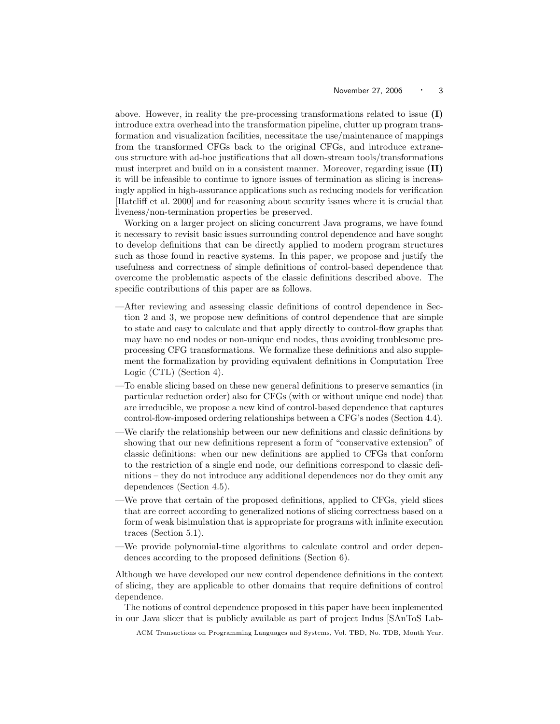above. However, in reality the pre-processing transformations related to issue  $(I)$ introduce extra overhead into the transformation pipeline, clutter up program transformation and visualization facilities, necessitate the use/maintenance of mappings from the transformed CFGs back to the original CFGs, and introduce extraneous structure with ad-hoc justifications that all down-stream tools/transformations must interpret and build on in a consistent manner. Moreover, regarding issue (II) it will be infeasible to continue to ignore issues of termination as slicing is increasingly applied in high-assurance applications such as reducing models for verification [Hatcliff et al. 2000] and for reasoning about security issues where it is crucial that liveness/non-termination properties be preserved.

Working on a larger project on slicing concurrent Java programs, we have found it necessary to revisit basic issues surrounding control dependence and have sought to develop definitions that can be directly applied to modern program structures such as those found in reactive systems. In this paper, we propose and justify the usefulness and correctness of simple definitions of control-based dependence that overcome the problematic aspects of the classic definitions described above. The specific contributions of this paper are as follows.

- —After reviewing and assessing classic definitions of control dependence in Section 2 and 3, we propose new definitions of control dependence that are simple to state and easy to calculate and that apply directly to control-flow graphs that may have no end nodes or non-unique end nodes, thus avoiding troublesome preprocessing CFG transformations. We formalize these definitions and also supplement the formalization by providing equivalent definitions in Computation Tree Logic (CTL) (Section 4).
- —To enable slicing based on these new general definitions to preserve semantics (in particular reduction order) also for CFGs (with or without unique end node) that are irreducible, we propose a new kind of control-based dependence that captures control-flow-imposed ordering relationships between a CFG's nodes (Section 4.4).
- —We clarify the relationship between our new definitions and classic definitions by showing that our new definitions represent a form of "conservative extension" of classic definitions: when our new definitions are applied to CFGs that conform to the restriction of a single end node, our definitions correspond to classic definitions – they do not introduce any additional dependences nor do they omit any dependences (Section 4.5).
- —We prove that certain of the proposed definitions, applied to CFGs, yield slices that are correct according to generalized notions of slicing correctness based on a form of weak bisimulation that is appropriate for programs with infinite execution traces (Section 5.1).
- —We provide polynomial-time algorithms to calculate control and order dependences according to the proposed definitions (Section 6).

Although we have developed our new control dependence definitions in the context of slicing, they are applicable to other domains that require definitions of control dependence.

The notions of control dependence proposed in this paper have been implemented in our Java slicer that is publicly available as part of project Indus [SAnToS Lab-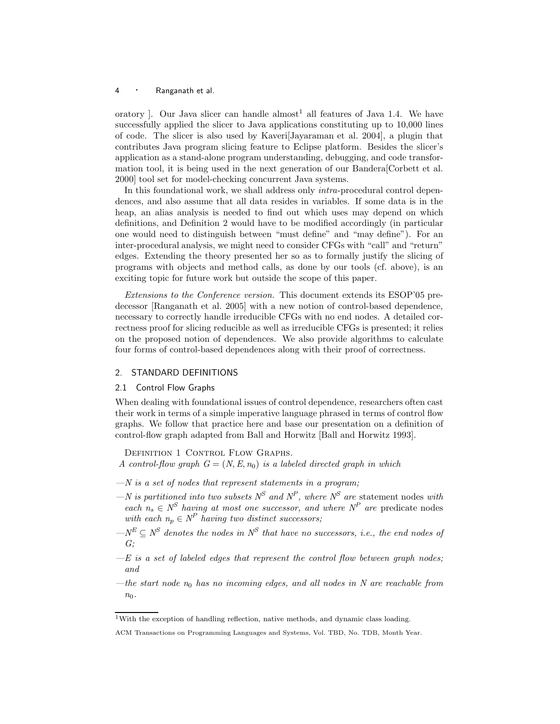oratory ]. Our Java slicer can handle almost<sup>1</sup> all features of Java 1.4. We have successfully applied the slicer to Java applications constituting up to 10,000 lines of code. The slicer is also used by Kaveri[Jayaraman et al. 2004], a plugin that contributes Java program slicing feature to Eclipse platform. Besides the slicer's application as a stand-alone program understanding, debugging, and code transformation tool, it is being used in the next generation of our Bandera[Corbett et al. 2000] tool set for model-checking concurrent Java systems.

In this foundational work, we shall address only *intra*-procedural control dependences, and also assume that all data resides in variables. If some data is in the heap, an alias analysis is needed to find out which uses may depend on which definitions, and Definition 2 would have to be modified accordingly (in particular one would need to distinguish between "must define" and "may define"). For an inter-procedural analysis, we might need to consider CFGs with "call" and "return" edges. Extending the theory presented her so as to formally justify the slicing of programs with objects and method calls, as done by our tools (cf. above), is an exciting topic for future work but outside the scope of this paper.

Extensions to the Conference version. This document extends its ESOP'05 predecessor [Ranganath et al. 2005] with a new notion of control-based dependence, necessary to correctly handle irreducible CFGs with no end nodes. A detailed correctness proof for slicing reducible as well as irreducible CFGs is presented; it relies on the proposed notion of dependences. We also provide algorithms to calculate four forms of control-based dependences along with their proof of correctness.

## 2. STANDARD DEFINITIONS

## 2.1 Control Flow Graphs

When dealing with foundational issues of control dependence, researchers often cast their work in terms of a simple imperative language phrased in terms of control flow graphs. We follow that practice here and base our presentation on a definition of control-flow graph adapted from Ball and Horwitz [Ball and Horwitz 1993].

DEFINITION 1 CONTROL FLOW GRAPHS. A control-flow graph  $G = (N, E, n_0)$  is a labeled directed graph in which

- $-N$  is a set of nodes that represent statements in a program;
- $-N$  is partitioned into two subsets  $N^S$  and  $N^P$ , where  $N^S$  are statement nodes with each  $n_s \in N^S$  having at most one successor, and where  $N^P$  are predicate nodes with each  $n_p \in N^P$  having two distinct successors;
- $-N^E \subseteq N^S$  denotes the nodes in  $N^S$  that have no successors, i.e., the end nodes of  $G;$
- $-E$  is a set of labeled edges that represent the control flow between graph nodes; and
- —the start node  $n_0$  has no incoming edges, and all nodes in N are reachable from  $n_0$ .

<sup>1</sup>With the exception of handling reflection, native methods, and dynamic class loading.

ACM Transactions on Programming Languages and Systems, Vol. TBD, No. TDB, Month Year.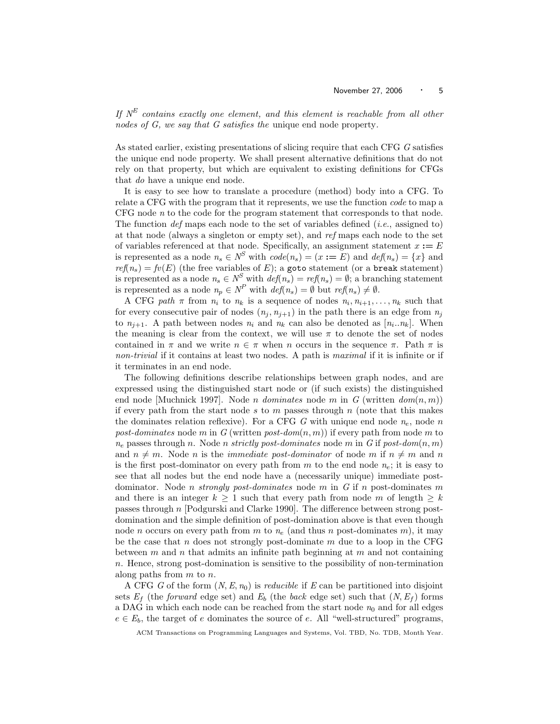If  $N^E$  contains exactly one element, and this element is reachable from all other nodes of G, we say that G satisfies the unique end node property.

As stated earlier, existing presentations of slicing require that each CFG G satisfies the unique end node property. We shall present alternative definitions that do not rely on that property, but which are equivalent to existing definitions for CFGs that do have a unique end node.

It is easy to see how to translate a procedure (method) body into a CFG. To relate a CFG with the program that it represents, we use the function code to map a  $CFG$  node  $n$  to the code for the program statement that corresponds to that node. The function def maps each node to the set of variables defined (*i.e.*, assigned to) at that node (always a singleton or empty set), and ref maps each node to the set of variables referenced at that node. Specifically, an assignment statement  $x := E$ is represented as a node  $n_s \in N^S$  with  $code(n_s) = (x := E)$  and  $def(n_s) = \{x\}$  and  $ref(n_s) = fv(E)$  (the free variables of E); a goto statement (or a break statement) is represented as a node  $n_s \in N^S$  with  $def(n_s) = ref(n_s) = \emptyset$ ; a branching statement is represented as a node  $n_p \in N^P$  with  $def(n_s) = \emptyset$  but  $ref(n_s) \neq \emptyset$ .

A CFG path  $\pi$  from  $n_i$  to  $n_k$  is a sequence of nodes  $n_i, n_{i+1}, \ldots, n_k$  such that for every consecutive pair of nodes  $(n_j, n_{j+1})$  in the path there is an edge from  $n_j$ to  $n_{j+1}$ . A path between nodes  $n_i$  and  $n_k$  can also be denoted as  $[n_i..n_k]$ . When the meaning is clear from the context, we will use  $\pi$  to denote the set of nodes contained in  $\pi$  and we write  $n \in \pi$  when n occurs in the sequence  $\pi$ . Path  $\pi$  is non-trivial if it contains at least two nodes. A path is maximal if it is infinite or if it terminates in an end node.

The following definitions describe relationships between graph nodes, and are expressed using the distinguished start node or (if such exists) the distinguished end node [Muchnick 1997]. Node *n dominates* node *m* in G (written  $dom(n, m)$ ) if every path from the start node s to m passes through n (note that this makes the dominates relation reflexive). For a CFG G with unique end node  $n_e$ , node n post-dominates node m in G (written post-dom $(n, m)$ ) if every path from node m to  $n_e$  passes through n. Node n strictly post-dominates node m in G if post-dom $(n, m)$ and  $n \neq m$ . Node n is the *immediate post-dominator* of node m if  $n \neq m$  and n is the first post-dominator on every path from m to the end node  $n_e$ ; it is easy to see that all nodes but the end node have a (necessarily unique) immediate postdominator. Node *n* strongly post-dominates node m in G if n post-dominates m and there is an integer  $k \geq 1$  such that every path from node m of length  $\geq k$ passes through n [Podgurski and Clarke 1990]. The difference between strong postdomination and the simple definition of post-domination above is that even though node n occurs on every path from m to  $n_e$  (and thus n post-dominates m), it may be the case that n does not strongly post-dominate  $m$  due to a loop in the CFG between  $m$  and  $n$  that admits an infinite path beginning at  $m$  and not containing n. Hence, strong post-domination is sensitive to the possibility of non-termination along paths from  $m$  to  $n$ .

A CFG G of the form  $(N, E, n_0)$  is *reducible* if E can be partitioned into disjoint sets  $E_f$  (the *forward* edge set) and  $E_b$  (the *back* edge set) such that  $(N, E_f)$  forms a DAG in which each node can be reached from the start node  $n_0$  and for all edges  $e \in E_b$ , the target of e dominates the source of e. All "well-structured" programs,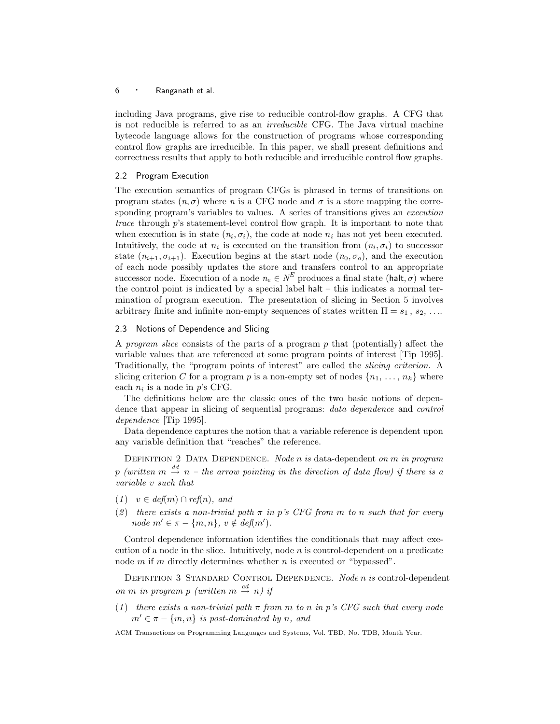including Java programs, give rise to reducible control-flow graphs. A CFG that is not reducible is referred to as an irreducible CFG. The Java virtual machine bytecode language allows for the construction of programs whose corresponding control flow graphs are irreducible. In this paper, we shall present definitions and correctness results that apply to both reducible and irreducible control flow graphs.

## 2.2 Program Execution

The execution semantics of program CFGs is phrased in terms of transitions on program states  $(n, \sigma)$  where n is a CFG node and  $\sigma$  is a store mapping the corresponding program's variables to values. A series of transitions gives an execution trace through p's statement-level control flow graph. It is important to note that when execution is in state  $(n_i, \sigma_i)$ , the code at node  $n_i$  has not yet been executed. Intuitively, the code at  $n_i$  is executed on the transition from  $(n_i, \sigma_i)$  to successor state  $(n_{i+1}, \sigma_{i+1})$ . Execution begins at the start node  $(n_0, \sigma_o)$ , and the execution of each node possibly updates the store and transfers control to an appropriate successor node. Execution of a node  $n_e \in \mathbb{N}^E$  produces a final state (halt,  $\sigma$ ) where the control point is indicated by a special label  $halt - this$  indicates a normal termination of program execution. The presentation of slicing in Section 5 involves arbitrary finite and infinite non-empty sequences of states written  $\Pi = s_1, s_2, \ldots$ 

## 2.3 Notions of Dependence and Slicing

A program slice consists of the parts of a program  $p$  that (potentially) affect the variable values that are referenced at some program points of interest [Tip 1995]. Traditionally, the "program points of interest" are called the slicing criterion. A slicing criterion C for a program p is a non-empty set of nodes  $\{n_1, \ldots, n_k\}$  where each  $n_i$  is a node in  $p$ 's CFG.

The definitions below are the classic ones of the two basic notions of dependence that appear in slicing of sequential programs: data dependence and control dependence [Tip 1995].

Data dependence captures the notion that a variable reference is dependent upon any variable definition that "reaches" the reference.

DEFINITION 2 DATA DEPENDENCE. Node  $n$  is data-dependent on  $m$  in program p (written  $m \stackrel{dd}{\rightarrow} n$  – the arrow pointing in the direction of data flow) if there is a variable v such that

- (1)  $v \in \text{def}(m) \cap \text{ref}(n)$ , and
- (2) there exists a non-trivial path  $\pi$  in p's CFG from m to n such that for every node  $m' \in \pi - \{m, n\}$ ,  $v \notin def(m')$ .

Control dependence information identifies the conditionals that may affect execution of a node in the slice. Intuitively, node  $n$  is control-dependent on a predicate node m if m directly determines whether n is executed or "bypassed".

DEFINITION 3 STANDARD CONTROL DEPENDENCE. Node n is control-dependent on m in program p (written  $m \stackrel{cd}{\rightarrow} n$ ) if

(1) there exists a non-trivial path  $\pi$  from m to n in p's CFG such that every node  $m' \in \pi - \{m, n\}$  is post-dominated by n, and

ACM Transactions on Programming Languages and Systems, Vol. TBD, No. TDB, Month Year.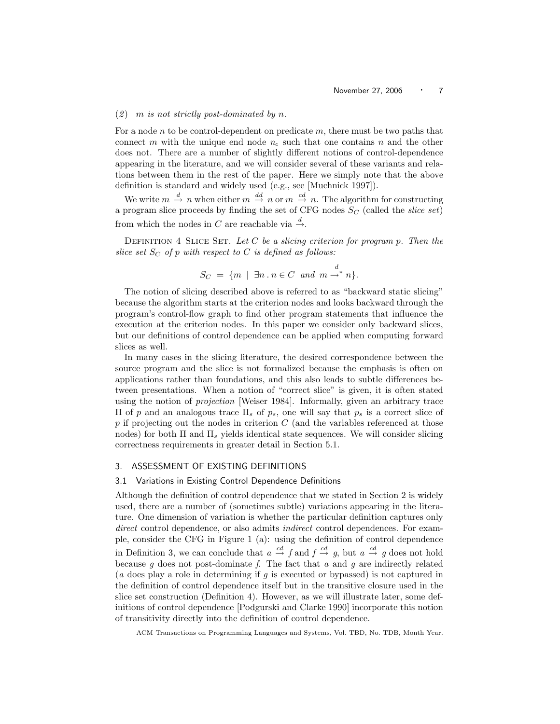#### $(2)$  m is not strictly post-dominated by n.

For a node  $n$  to be control-dependent on predicate  $m$ , there must be two paths that connect m with the unique end node  $n_e$  such that one contains n and the other does not. There are a number of slightly different notions of control-dependence appearing in the literature, and we will consider several of these variants and relations between them in the rest of the paper. Here we simply note that the above definition is standard and widely used (e.g., see [Muchnick 1997]).

We write  $m \stackrel{d}{\rightarrow} n$  when either  $m \stackrel{dd}{\rightarrow} n$  or  $m \stackrel{cd}{\rightarrow} n$ . The algorithm for constructing a program slice proceeds by finding the set of CFG nodes  $S_C$  (called the *slice set*) from which the nodes in C are reachable via  $\stackrel{d}{\rightarrow}$ .

DEFINITION 4 SLICE SET. Let  $C$  be a slicing criterion for program p. Then the slice set  $S_C$  of p with respect to C is defined as follows:

$$
S_C = \{ m \mid \exists n \cdot n \in C \text{ and } m \stackrel{d}{\rightarrow} n \}.
$$

The notion of slicing described above is referred to as "backward static slicing" because the algorithm starts at the criterion nodes and looks backward through the program's control-flow graph to find other program statements that influence the execution at the criterion nodes. In this paper we consider only backward slices, but our definitions of control dependence can be applied when computing forward slices as well.

In many cases in the slicing literature, the desired correspondence between the source program and the slice is not formalized because the emphasis is often on applications rather than foundations, and this also leads to subtle differences between presentations. When a notion of "correct slice" is given, it is often stated using the notion of projection [Weiser 1984]. Informally, given an arbitrary trace Π of p and an analogous trace  $\Pi_s$  of  $p_s$ , one will say that  $p_s$  is a correct slice of  $p$  if projecting out the nodes in criterion  $C$  (and the variables referenced at those nodes) for both  $\Pi$  and  $\Pi_s$  yields identical state sequences. We will consider slicing correctness requirements in greater detail in Section 5.1.

## 3. ASSESSMENT OF EXISTING DEFINITIONS

#### 3.1 Variations in Existing Control Dependence Definitions

Although the definition of control dependence that we stated in Section 2 is widely used, there are a number of (sometimes subtle) variations appearing in the literature. One dimension of variation is whether the particular definition captures only direct control dependence, or also admits *indirect* control dependences. For example, consider the CFG in Figure 1 (a): using the definition of control dependence in Definition 3, we can conclude that  $a \stackrel{cd}{\rightarrow} f$  and  $f \stackrel{cd}{\rightarrow} g$ , but  $a \stackrel{cd}{\rightarrow} g$  does not hold because  $g$  does not post-dominate  $f$ . The fact that  $a$  and  $g$  are indirectly related (a does play a role in determining if g is executed or bypassed) is not captured in the definition of control dependence itself but in the transitive closure used in the slice set construction (Definition 4). However, as we will illustrate later, some definitions of control dependence [Podgurski and Clarke 1990] incorporate this notion of transitivity directly into the definition of control dependence.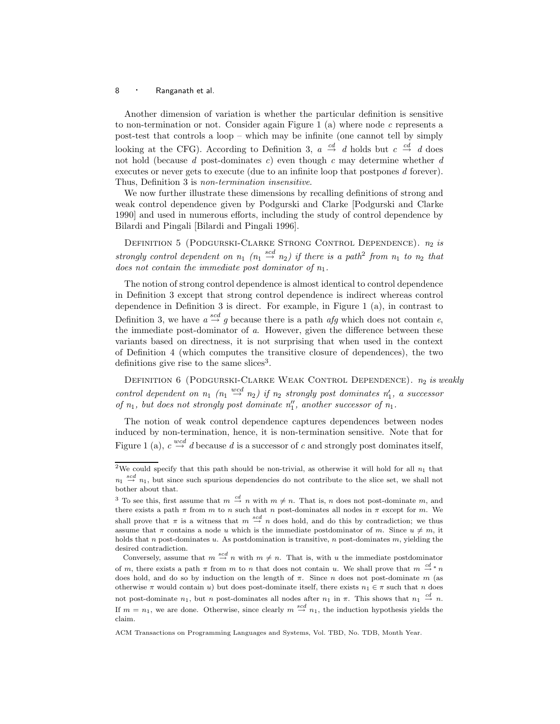Another dimension of variation is whether the particular definition is sensitive to non-termination or not. Consider again Figure 1 (a) where node c represents a post-test that controls a loop – which may be infinite (one cannot tell by simply looking at the CFG). According to Definition 3,  $a \stackrel{cd}{\rightarrow} d$  holds but  $c \stackrel{cd}{\rightarrow} d$  does not hold (because d post-dominates c) even though c may determine whether d executes or never gets to execute (due to an infinite loop that postpones d forever). Thus, Definition 3 is non-termination insensitive.

We now further illustrate these dimensions by recalling definitions of strong and weak control dependence given by Podgurski and Clarke [Podgurski and Clarke 1990] and used in numerous efforts, including the study of control dependence by Bilardi and Pingali [Bilardi and Pingali 1996].

DEFINITION 5 (PODGURSKI-CLARKE STRONG CONTROL DEPENDENCE).  $n_2$  is strongly control dependent on  $n_1$   $(n_1 \stackrel{scd}{\rightarrow} n_2)$  if there is a path<sup>2</sup> from  $n_1$  to  $n_2$  that does not contain the immediate post dominator of  $n_1$ .

The notion of strong control dependence is almost identical to control dependence in Definition 3 except that strong control dependence is indirect whereas control dependence in Definition 3 is direct. For example, in Figure 1 (a), in contrast to Definition 3, we have  $a \stackrel{scd}{\rightarrow} g$  because there is a path afg which does not contain e, the immediate post-dominator of  $a$ . However, given the difference between these variants based on directness, it is not surprising that when used in the context of Definition 4 (which computes the transitive closure of dependences), the two definitions give rise to the same slices<sup>3</sup>.

DEFINITION 6 (PODGURSKI-CLARKE WEAK CONTROL DEPENDENCE).  $n_2$  is weakly control dependent on  $n_1$  ( $n_1 \stackrel{wcd}{\rightarrow} n_2$ ) if  $n_2$  strongly post dominates  $n'_1$ , a successor of  $n_1$ , but does not strongly post dominate  $n''_1$ , another successor of  $n_1$ .

The notion of weak control dependence captures dependences between nodes induced by non-termination, hence, it is non-termination sensitive. Note that for Figure 1 (a),  $c \stackrel{wcd}{\rightarrow} d$  because d is a successor of c and strongly post dominates itself,

<sup>&</sup>lt;sup>2</sup>We could specify that this path should be non-trivial, as otherwise it will hold for all  $n_1$  that  $n_1 \stackrel{scd}{\rightarrow} n_1$ , but since such spurious dependencies do not contribute to the slice set, we shall not bother about that.

<sup>&</sup>lt;sup>3</sup> To see this, first assume that  $m \stackrel{cd}{\rightarrow} n$  with  $m \neq n$ . That is, n does not post-dominate m, and there exists a path  $\pi$  from m to n such that n post-dominates all nodes in  $\pi$  except for m. We shall prove that  $\pi$  is a witness that  $m \stackrel{scd}{\rightarrow} n$  does hold, and do this by contradiction; we thus assume that  $\pi$  contains a node u which is the immediate postdominator of m. Since  $u \neq m$ , it holds that n post-dominates u. As postdomination is transitive, n post-dominates  $m$ , yielding the desired contradiction.

Conversely, assume that  $m \stackrel{scd}{\rightarrow} n$  with  $m \neq n$ . That is, with u the immediate postdominator of m, there exists a path  $\pi$  from m to n that does not contain u. We shall prove that  $m \stackrel{cd}{\rightarrow} n$ does hold, and do so by induction on the length of  $\pi$ . Since n does not post-dominate m (as otherwise  $\pi$  would contain u) but does post-dominate itself, there exists  $n_1 \in \pi$  such that n does not post-dominate  $n_1$ , but n post-dominates all nodes after  $n_1$  in  $\pi$ . This shows that  $n_1 \stackrel{cd}{\rightarrow} n$ . If  $m = n_1$ , we are done. Otherwise, since clearly  $m \stackrel{scd}{\rightarrow} n_1$ , the induction hypothesis yields the claim.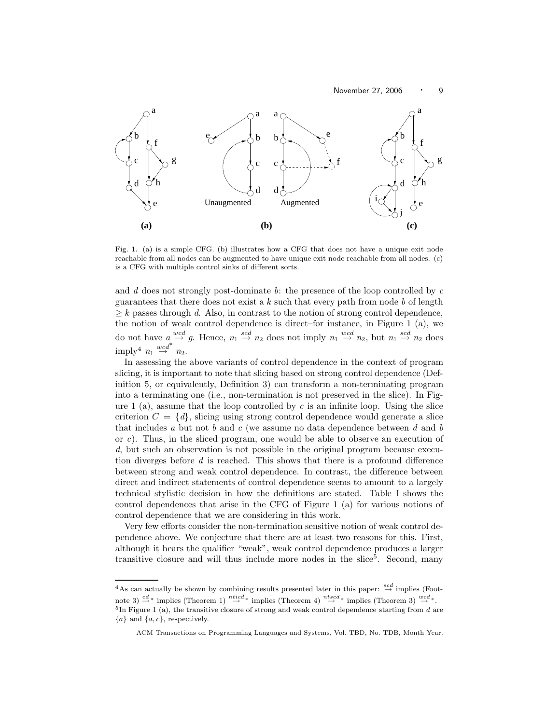

Fig. 1. (a) is a simple CFG. (b) illustrates how a CFG that does not have a unique exit node reachable from all nodes can be augmented to have unique exit node reachable from all nodes. (c) is a CFG with multiple control sinks of different sorts.

and  $d$  does not strongly post-dominate  $b$ : the presence of the loop controlled by  $c$ guarantees that there does not exist a  $k$  such that every path from node  $b$  of length  $\geq k$  passes through d. Also, in contrast to the notion of strong control dependence, the notion of weak control dependence is direct–for instance, in Figure 1 (a), we do not have  $a \stackrel{wcd}{\rightarrow} g$ . Hence,  $n_1 \stackrel{scd}{\rightarrow} n_2$  does not imply  $n_1 \stackrel{wcd}{\rightarrow} n_2$ , but  $n_1 \stackrel{scd}{\rightarrow} n_2$  does  $\text{imply}^4$   $n_1 \stackrel{wcd^*}{\rightarrow}$  $n_2$ .

In assessing the above variants of control dependence in the context of program slicing, it is important to note that slicing based on strong control dependence (Definition 5, or equivalently, Definition 3) can transform a non-terminating program into a terminating one (i.e., non-termination is not preserved in the slice). In Figure  $1$  (a), assume that the loop controlled by c is an infinite loop. Using the slice criterion  $C = \{d\}$ , slicing using strong control dependence would generate a slice that includes a but not b and c (we assume no data dependence between  $d$  and  $b$ or c). Thus, in the sliced program, one would be able to observe an execution of d, but such an observation is not possible in the original program because execution diverges before d is reached. This shows that there is a profound difference between strong and weak control dependence. In contrast, the difference between direct and indirect statements of control dependence seems to amount to a largely technical stylistic decision in how the definitions are stated. Table I shows the control dependences that arise in the CFG of Figure 1 (a) for various notions of control dependence that we are considering in this work.

Very few efforts consider the non-termination sensitive notion of weak control dependence above. We conjecture that there are at least two reasons for this. First, although it bears the qualifier "weak", weak control dependence produces a larger transitive closure and will thus include more nodes in the slice<sup>5</sup>. Second, many

<sup>&</sup>lt;sup>4</sup>As can actually be shown by combining results presented later in this paper:  $\frac{scd}{\rightarrow}$  implies (Footnote 3)  $\stackrel{cd}{\rightarrow}^*$  implies (Theorem 1)  $\stackrel{nticd}{\rightarrow}^*$  implies (Theorem 4)  $\stackrel{ntscd}{\rightarrow}^*$  implies (Theorem 3)  $\stackrel{wcd}{\rightarrow}^*$ . <sup>5</sup>In Figure 1 (a), the transitive closure of strong and weak control dependence starting from d are  ${a}$  and  ${a, c}$ , respectively.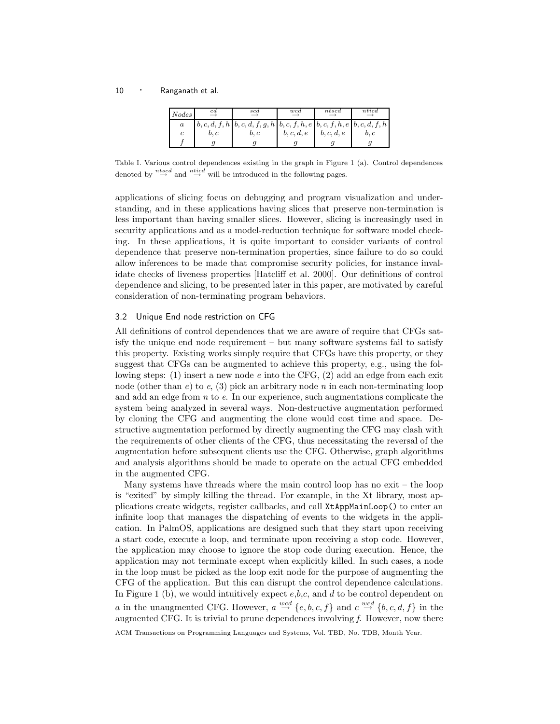| <b>Nodes</b>     | сa   | scd                                                                                | wcd        | ntscd      | $n$ ticd |
|------------------|------|------------------------------------------------------------------------------------|------------|------------|----------|
| $\boldsymbol{a}$ |      | $b, c, d, f, h   b, c, d, f, g, h   b, c, f, h, e   b, c, f, h, e   b, c, d, f, h$ |            |            |          |
|                  | b. c | b, c                                                                               | b, c, d, e | b, c, d, e | b. c     |
|                  |      |                                                                                    |            |            |          |

Table I. Various control dependences existing in the graph in Figure 1 (a). Control dependences denoted by  $\stackrel{ntscd}{\rightarrow}$  and  $\stackrel{nticd}{\rightarrow}$  will be introduced in the following pages.

applications of slicing focus on debugging and program visualization and understanding, and in these applications having slices that preserve non-termination is less important than having smaller slices. However, slicing is increasingly used in security applications and as a model-reduction technique for software model checking. In these applications, it is quite important to consider variants of control dependence that preserve non-termination properties, since failure to do so could allow inferences to be made that compromise security policies, for instance invalidate checks of liveness properties [Hatcliff et al. 2000]. Our definitions of control dependence and slicing, to be presented later in this paper, are motivated by careful consideration of non-terminating program behaviors.

## 3.2 Unique End node restriction on CFG

All definitions of control dependences that we are aware of require that CFGs satisfy the unique end node requirement – but many software systems fail to satisfy this property. Existing works simply require that CFGs have this property, or they suggest that CFGs can be augmented to achieve this property, e.g., using the following steps: (1) insert a new node  $e$  into the CFG, (2) add an edge from each exit node (other than e) to e, (3) pick an arbitrary node n in each non-terminating loop and add an edge from  $n \times e$ . In our experience, such augmentations complicate the system being analyzed in several ways. Non-destructive augmentation performed by cloning the CFG and augmenting the clone would cost time and space. Destructive augmentation performed by directly augmenting the CFG may clash with the requirements of other clients of the CFG, thus necessitating the reversal of the augmentation before subsequent clients use the CFG. Otherwise, graph algorithms and analysis algorithms should be made to operate on the actual CFG embedded in the augmented CFG.

Many systems have threads where the main control loop has no exit – the loop is "exited" by simply killing the thread. For example, in the Xt library, most applications create widgets, register callbacks, and call XtAppMainLoop() to enter an infinite loop that manages the dispatching of events to the widgets in the application. In PalmOS, applications are designed such that they start upon receiving a start code, execute a loop, and terminate upon receiving a stop code. However, the application may choose to ignore the stop code during execution. Hence, the application may not terminate except when explicitly killed. In such cases, a node in the loop must be picked as the loop exit node for the purpose of augmenting the CFG of the application. But this can disrupt the control dependence calculations. In Figure 1 (b), we would intuitively expect  $e,b,c$ , and  $d$  to be control dependent on a in the unaugmented CFG. However,  $a \stackrel{wcd}{\rightarrow} \{e, b, c, f\}$  and  $c \stackrel{wcd}{\rightarrow} \{b, c, d, f\}$  in the augmented CFG. It is trivial to prune dependences involving  $f$ . However, now there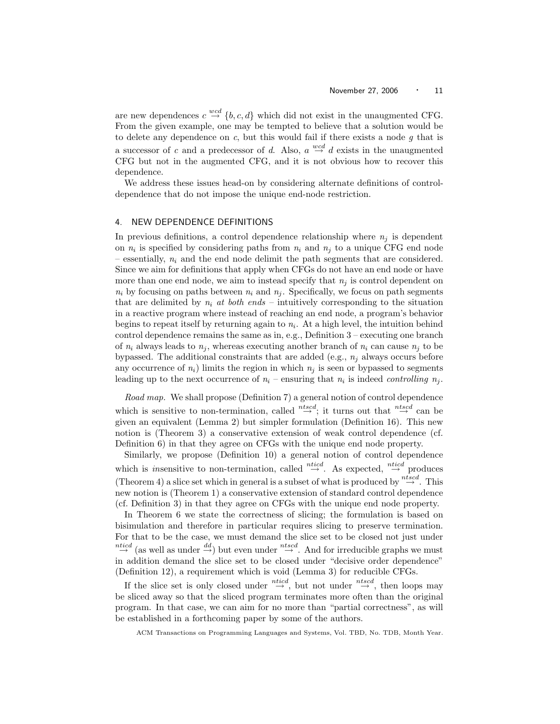are new dependences  $c \stackrel{wcd}{\rightarrow} \{b, c, d\}$  which did not exist in the unaugmented CFG. From the given example, one may be tempted to believe that a solution would be to delete any dependence on  $c$ , but this would fail if there exists a node  $q$  that is a successor of c and a predecessor of d. Also,  $a \stackrel{wcd}{\rightarrow} d$  exists in the unaugmented CFG but not in the augmented CFG, and it is not obvious how to recover this dependence.

We address these issues head-on by considering alternate definitions of controldependence that do not impose the unique end-node restriction.

## 4. NEW DEPENDENCE DEFINITIONS

In previous definitions, a control dependence relationship where  $n_i$  is dependent on  $n_i$  is specified by considering paths from  $n_i$  and  $n_j$  to a unique CFG end node – essentially,  $n_i$  and the end node delimit the path segments that are considered. Since we aim for definitions that apply when CFGs do not have an end node or have more than one end node, we aim to instead specify that  $n_i$  is control dependent on  $n_i$  by focusing on paths between  $n_i$  and  $n_j$ . Specifically, we focus on path segments that are delimited by  $n_i$  at both ends – intuitively corresponding to the situation in a reactive program where instead of reaching an end node, a program's behavior begins to repeat itself by returning again to  $n_i$ . At a high level, the intuition behind control dependence remains the same as in, e.g., Definition 3 – executing one branch of  $n_i$  always leads to  $n_j$ , whereas executing another branch of  $n_i$  can cause  $n_j$  to be by passed. The additional constraints that are added (e.g.,  $n_i$  always occurs before any occurrence of  $n_i$ ) limits the region in which  $n_i$  is seen or bypassed to segments leading up to the next occurrence of  $n_i$  – ensuring that  $n_i$  is indeed *controlling*  $n_j$ .

Road map. We shall propose (Definition 7) a general notion of control dependence which is sensitive to non-termination, called  $\stackrel{ntscd}{\rightarrow}$ ; it turns out that  $\stackrel{ntscd}{\rightarrow}$  can be given an equivalent (Lemma 2) but simpler formulation (Definition 16). This new notion is (Theorem 3) a conservative extension of weak control dependence (cf. Definition 6) in that they agree on CFGs with the unique end node property.

Similarly, we propose (Definition 10) a general notion of control dependence which is insensitive to non-termination, called  $\stackrel{ntied}{\rightarrow}$ . As expected,  $\stackrel{ntied}{\rightarrow}$  produces (Theorem 4) a slice set which in general is a subset of what is produced by  $\stackrel{ntscd}{\rightarrow}$ . This new notion is (Theorem 1) a conservative extension of standard control dependence (cf. Definition 3) in that they agree on CFGs with the unique end node property.

In Theorem 6 we state the correctness of slicing; the formulation is based on bisimulation and therefore in particular requires slicing to preserve termination. For that to be the case, we must demand the slice set to be closed not just under  $\stackrel{ntied}{\rightarrow}$  (as well as under  $\stackrel{dd}{\rightarrow}$ ) but even under  $\stackrel{ntsed}{\rightarrow}$ . And for irreducible graphs we must in addition demand the slice set to be closed under "decisive order dependence" (Definition 12), a requirement which is void (Lemma 3) for reducible CFGs.

If the slice set is only closed under  $\stackrel{ntied}{\rightarrow}$ , but not under  $\stackrel{ntsed}{\rightarrow}$ , then loops may be sliced away so that the sliced program terminates more often than the original program. In that case, we can aim for no more than "partial correctness", as will be established in a forthcoming paper by some of the authors.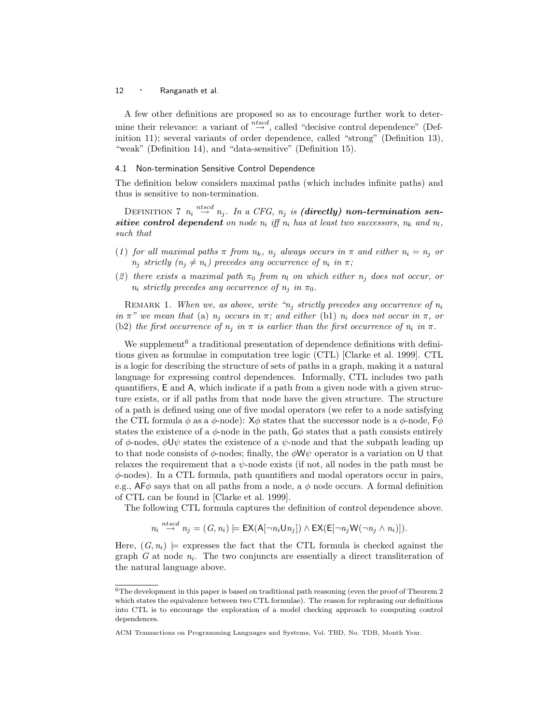A few other definitions are proposed so as to encourage further work to determine their relevance: a variant of  $\stackrel{ntscd}{\rightarrow}$ , called "decisive control dependence" (Definition 11); several variants of order dependence, called "strong" (Definition 13), "weak" (Definition 14), and "data-sensitive" (Definition 15).

#### 4.1 Non-termination Sensitive Control Dependence

The definition below considers maximal paths (which includes infinite paths) and thus is sensitive to non-termination.

DEFINITION 7  $n_i \stackrel{ntscd}{\rightarrow} n_j$ . In a CFG,  $n_j$  is (directly) non-termination sensitive control dependent on node  $n_i$  iff  $n_i$  has at least two successors,  $n_k$  and  $n_l$ , such that

- (1) for all maximal paths  $\pi$  from  $n_k$ ,  $n_j$  always occurs in  $\pi$  and either  $n_i = n_j$  or  $n_i$  strictly  $(n_i \neq n_i)$  precedes any occurrence of  $n_i$  in  $\pi$ ;
- (2) there exists a maximal path  $\pi_0$  from  $n_l$  on which either  $n_j$  does not occur, or  $n_i$  strictly precedes any occurrence of  $n_j$  in  $\pi_0$ .

REMARK 1. When we, as above, write " $n_j$  strictly precedes any occurrence of  $n_i$ in  $\pi$ " we mean that (a)  $n_i$  occurs in  $\pi$ ; and either (b1)  $n_i$  does not occur in  $\pi$ , or (b2) the first occurrence of  $n_j$  in  $\pi$  is earlier than the first occurrence of  $n_i$  in  $\pi$ .

We supplement<sup>6</sup> a traditional presentation of dependence definitions with definitions given as formulae in computation tree logic (CTL) [Clarke et al. 1999]. CTL is a logic for describing the structure of sets of paths in a graph, making it a natural language for expressing control dependences. Informally, CTL includes two path quantifiers, E and A, which indicate if a path from a given node with a given structure exists, or if all paths from that node have the given structure. The structure of a path is defined using one of five modal operators (we refer to a node satisfying the CTL formula  $\phi$  as a  $\phi$ -node):  $X\phi$  states that the successor node is a  $\phi$ -node,  $F\phi$ states the existence of a  $\phi$ -node in the path,  $\mathsf{G}\phi$  states that a path consists entirely of  $\phi$ -nodes,  $\phi \cup \psi$  states the existence of a  $\psi$ -node and that the subpath leading up to that node consists of  $\phi$ -nodes; finally, the  $\phi \mathsf{W} \psi$  operator is a variation on U that relaxes the requirement that a  $\psi$ -node exists (if not, all nodes in the path must be  $\phi$ -nodes). In a CTL formula, path quantifiers and modal operators occur in pairs, e.g.,  ${\sf AF}\phi$  says that on all paths from a node, a  $\phi$  node occurs. A formal definition of CTL can be found in [Clarke et al. 1999].

The following CTL formula captures the definition of control dependence above.

$$
n_i \stackrel{ntscd}{\rightarrow} n_j = (G, n_i) \models \mathsf{EX}(\mathsf{A}[\neg n_i \mathsf{U} n_j]) \land \mathsf{EX}(\mathsf{E}[\neg n_j \mathsf{W}(\neg n_j \land n_i)]).
$$

Here,  $(G, n_i)$  = expresses the fact that the CTL formula is checked against the graph  $G$  at node  $n_i$ . The two conjuncts are essentially a direct transliteration of the natural language above.

<sup>&</sup>lt;sup>6</sup>The development in this paper is based on traditional path reasoning (even the proof of Theorem 2 which states the equivalence between two CTL formulae). The reason for rephrasing our definitions into CTL is to encourage the exploration of a model checking approach to computing control dependences.

ACM Transactions on Programming Languages and Systems, Vol. TBD, No. TDB, Month Year.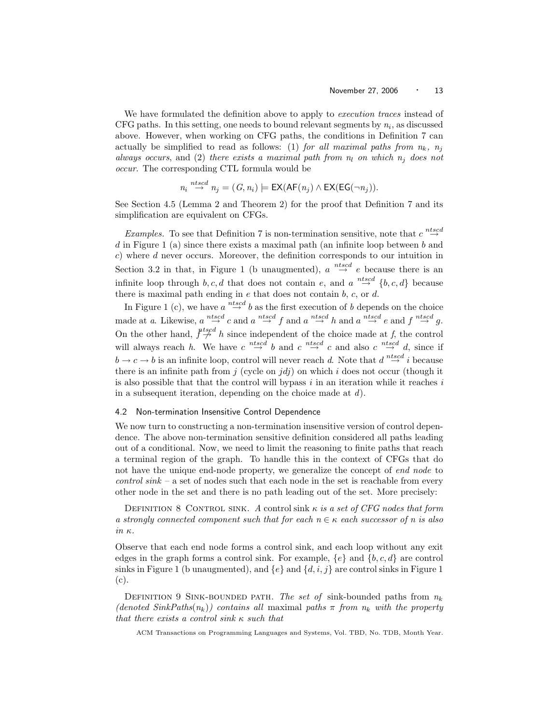We have formulated the definition above to apply to *execution traces* instead of  $CFG$  paths. In this setting, one needs to bound relevant segments by  $n_i$ , as discussed above. However, when working on CFG paths, the conditions in Definition 7 can actually be simplified to read as follows: (1) for all maximal paths from  $n_k$ ,  $n_j$ always occurs, and (2) there exists a maximal path from  $n_l$  on which  $n_j$  does not occur. The corresponding CTL formula would be

$$
n_i \stackrel{ntscd}{\rightarrow} n_j = (G, n_i) \models \mathsf{EX}(\mathsf{AF}(n_j) \land \mathsf{EX}(\mathsf{EG}(\neg n_j)).
$$

See Section 4.5 (Lemma 2 and Theorem 2) for the proof that Definition 7 and its simplification are equivalent on CFGs.

*Examples.* To see that Definition 7 is non-termination sensitive, note that  $c \stackrel{ntscd}{\rightarrow}$  $d$  in Figure 1 (a) since there exists a maximal path (an infinite loop between  $b$  and  $c)$  where  $d$  never occurs. Moreover, the definition corresponds to our intuition in Section 3.2 in that, in Figure 1 (b unaugmented),  $a \stackrel{ntscd}{\rightarrow} e$  because there is an infinite loop through  $b, c, d$  that does not contain e, and  $a \stackrel{ntscd}{\rightarrow} \{b, c, d\}$  because there is maximal path ending in  $e$  that does not contain  $b, c, \text{ or } d$ .

In Figure 1 (c), we have  $a \stackrel{ntscd}{\rightarrow} b$  as the first execution of b depends on the choice made at a. Likewise,  $a \stackrel{ntscd}{\rightarrow} c$  and  $a \stackrel{ntscd}{\rightarrow} f$  and  $a \stackrel{ntscd}{\rightarrow} h$  and  $a \stackrel{ntscd}{\rightarrow} e$  and  $f \stackrel{ntscd}{\rightarrow} g$ . On the other hand,  $f \not\stackrel{stscd}{\rightarrow} h$  since independent of the choice made at f, the control will always reach h. We have  $c \stackrel{ntscd}{\rightarrow} b$  and  $c \stackrel{ntscd}{\rightarrow} c$  and also  $c \stackrel{ntscd}{\rightarrow} d$ , since if  $b \to c \to b$  is an infinite loop, control will never reach d. Note that  $d \stackrel{ntscd}{\to} i$  because there is an infinite path from  $j$  (cycle on  $jdj$ ) on which i does not occur (though it is also possible that that the control will bypass  $i$  in an iteration while it reaches  $i$ in a subsequent iteration, depending on the choice made at  $d$ ).

#### 4.2 Non-termination Insensitive Control Dependence

We now turn to constructing a non-termination insensitive version of control dependence. The above non-termination sensitive definition considered all paths leading out of a conditional. Now, we need to limit the reasoning to finite paths that reach a terminal region of the graph. To handle this in the context of CFGs that do not have the unique end-node property, we generalize the concept of end node to  $control sink - a set of nodes such that each node in the set is reachable from every$ other node in the set and there is no path leading out of the set. More precisely:

DEFINITION 8 CONTROL SINK. A control sink  $\kappa$  is a set of CFG nodes that form a strongly connected component such that for each  $n \in \kappa$  each successor of n is also in κ.

Observe that each end node forms a control sink, and each loop without any exit edges in the graph forms a control sink. For example,  $\{e\}$  and  $\{b, c, d\}$  are control sinks in Figure 1 (b unaugmented), and  $\{e\}$  and  $\{d, i, j\}$  are control sinks in Figure 1 (c).

DEFINITION 9 SINK-BOUNDED PATH. The set of sink-bounded paths from  $n_k$ (denoted SinkPaths(n<sub>k</sub>)) contains all maximal paths  $\pi$  from  $n_k$  with the property that there exists a control sink  $\kappa$  such that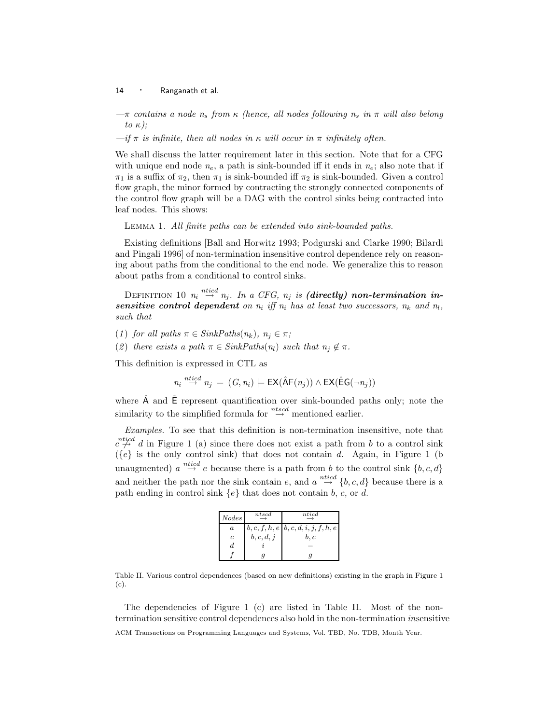$-\pi$  contains a node n<sub>s</sub> from  $\kappa$  (hence, all nodes following n<sub>s</sub> in  $\pi$  will also belong to  $\kappa$ );

 $-if \pi$  is infinite, then all nodes in  $\kappa$  will occur in  $\pi$  infinitely often.

We shall discuss the latter requirement later in this section. Note that for a CFG with unique end node  $n_e$ , a path is sink-bounded iff it ends in  $n_e$ ; also note that if  $\pi_1$  is a suffix of  $\pi_2$ , then  $\pi_1$  is sink-bounded iff  $\pi_2$  is sink-bounded. Given a control flow graph, the minor formed by contracting the strongly connected components of the control flow graph will be a DAG with the control sinks being contracted into leaf nodes. This shows:

Lemma 1. All finite paths can be extended into sink-bounded paths.

Existing definitions [Ball and Horwitz 1993; Podgurski and Clarke 1990; Bilardi and Pingali 1996] of non-termination insensitive control dependence rely on reasoning about paths from the conditional to the end node. We generalize this to reason about paths from a conditional to control sinks.

DEFINITION 10  $n_i \stackrel{ntied}{\rightarrow} n_j$ . In a CFG,  $n_j$  is (directly) non-termination insensitive control dependent on  $n_i$  iff  $n_i$  has at least two successors,  $n_k$  and  $n_l$ , such that

- (1) for all paths  $\pi \in \text{SinkPaths}(n_k)$ ,  $n_i \in \pi$ ;
- (2) there exists a path  $\pi \in \text{SinkPaths}(n_l)$  such that  $n_j \notin \pi$ .

This definition is expressed in CTL as

$$
n_i \stackrel{ntied}{\rightarrow} n_j = (G, n_i) \models \text{EX}(\hat{\text{AF}}(n_j)) \land \text{EX}(\hat{\text{EG}}(\neg n_j))
$$

where  $\hat{A}$  and  $\hat{E}$  represent quantification over sink-bounded paths only; note the similarity to the simplified formula for  $\stackrel{ntscd}{\rightarrow}$  mentioned earlier.

Examples. To see that this definition is non-termination insensitive, note that  $c^{ntied}_{\uparrow}$  d in Figure 1 (a) since there does not exist a path from b to a control sink  $({e}$  is the only control sink) that does not contain d. Again, in Figure 1 (b) unaugmented)  $a \stackrel{ntied}{\rightarrow} e$  because there is a path from b to the control sink  $\{b, c, d\}$ and neither the path nor the sink contain e, and  $a \stackrel{ntied}{\rightarrow} \{b, c, d\}$  because there is a path ending in control sink  ${e}$  that does not contain b, c, or d.

| Nodes    | ntscd      | $n$ ticd                                   |
|----------|------------|--------------------------------------------|
| $\alpha$ |            | $b, c, f, h, e   b, c, d, i, j, f, h, e  $ |
| C        | b, c, d, j | b, c                                       |
| d.       |            |                                            |
|          |            |                                            |

Table II. Various control dependences (based on new definitions) existing in the graph in Figure 1 (c).

The dependencies of Figure 1 (c) are listed in Table II. Most of the nontermination sensitive control dependences also hold in the non-termination insensitive ACM Transactions on Programming Languages and Systems, Vol. TBD, No. TDB, Month Year.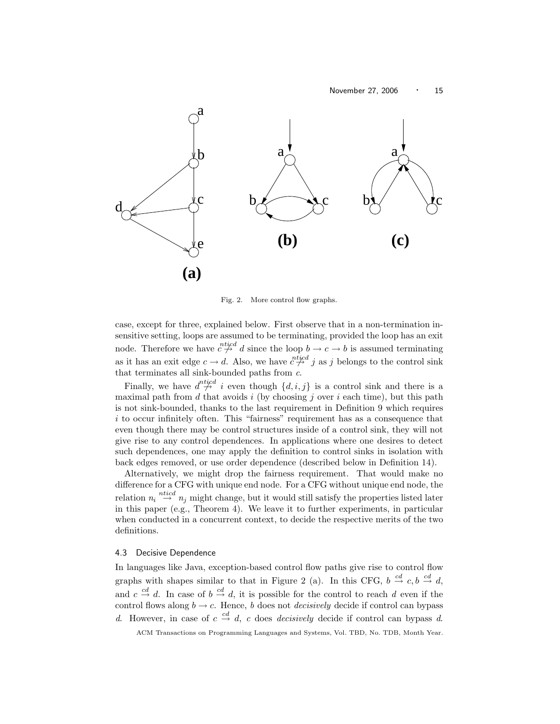

Fig. 2. More control flow graphs.

case, except for three, explained below. First observe that in a non-termination insensitive setting, loops are assumed to be terminating, provided the loop has an exit node. Therefore we have  $c \stackrel{nticd}{\nrightarrow} d$  since the loop  $b \to c \to b$  is assumed terminating as it has an exit edge  $c \to d$ . Also, we have  $c \not\stackrel{nticd}{\to} j$  as j belongs to the control sink that terminates all sink-bounded paths from c.

Finally, we have  $d \nrightarrow{fit} i$  even though  $\{d, i, j\}$  is a control sink and there is a maximal path from d that avoids i (by choosing j over i each time), but this path is not sink-bounded, thanks to the last requirement in Definition 9 which requires i to occur infinitely often. This "fairness" requirement has as a consequence that even though there may be control structures inside of a control sink, they will not give rise to any control dependences. In applications where one desires to detect such dependences, one may apply the definition to control sinks in isolation with back edges removed, or use order dependence (described below in Definition 14).

Alternatively, we might drop the fairness requirement. That would make no difference for a CFG with unique end node. For a CFG without unique end node, the relation  $n_i \stackrel{ntied}{\rightarrow} n_j$  might change, but it would still satisfy the properties listed later in this paper (e.g., Theorem 4). We leave it to further experiments, in particular when conducted in a concurrent context, to decide the respective merits of the two definitions.

## 4.3 Decisive Dependence

In languages like Java, exception-based control flow paths give rise to control flow graphs with shapes similar to that in Figure 2 (a). In this CFG,  $b \stackrel{cd}{\to} c, b \stackrel{cd}{\to} d$ , and  $c \stackrel{cd}{\rightarrow} d$ . In case of  $b \stackrel{cd}{\rightarrow} d$ , it is possible for the control to reach d even if the control flows along  $b \to c$ . Hence, b does not *decisively* decide if control can bypass d. However, in case of  $c \stackrel{cd}{\rightarrow} d$ , c does *decisively* decide if control can bypass d.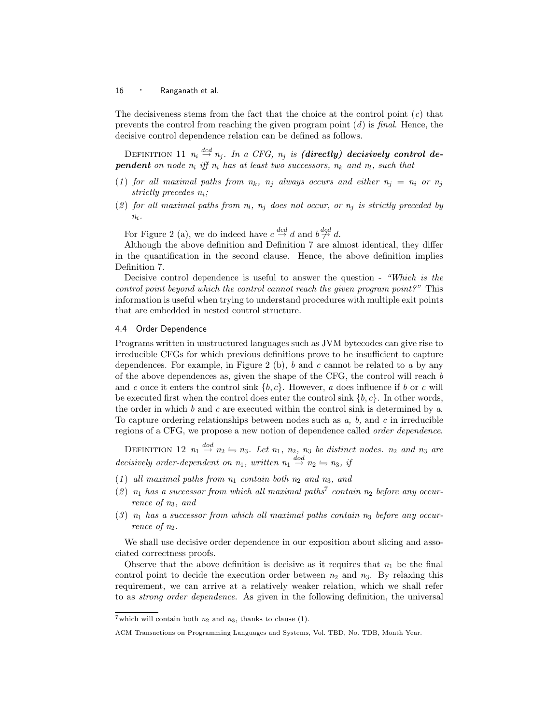The decisiveness stems from the fact that the choice at the control point  $(c)$  that prevents the control from reaching the given program point  $(d)$  is final. Hence, the decisive control dependence relation can be defined as follows.

DEFINITION 11  $n_i \stackrel{dcd}{\rightarrow} n_j$ . In a CFG,  $n_j$  is (directly) decisively control de**pendent** on node  $n_i$  iff  $n_i$  has at least two successors,  $n_k$  and  $n_l$ , such that

- (1) for all maximal paths from  $n_k$ ,  $n_j$  always occurs and either  $n_j = n_i$  or  $n_j$ strictly precedes  $n_i$ ;
- (2) for all maximal paths from  $n_l$ ,  $n_j$  does not occur, or  $n_j$  is strictly preceded by  $n_i$ .

For Figure 2 (a), we do indeed have  $c \stackrel{dcd}{\rightarrow} d$  and  $b \stackrel{dcd}{\rightarrow} d$ .

Although the above definition and Definition 7 are almost identical, they differ in the quantification in the second clause. Hence, the above definition implies Definition 7.

Decisive control dependence is useful to answer the question - "Which is the control point beyond which the control cannot reach the given program point?" This information is useful when trying to understand procedures with multiple exit points that are embedded in nested control structure.

#### 4.4 Order Dependence

Programs written in unstructured languages such as JVM bytecodes can give rise to irreducible CFGs for which previous definitions prove to be insufficient to capture dependences. For example, in Figure 2 (b),  $b$  and  $c$  cannot be related to  $a$  by any of the above dependences as, given the shape of the CFG, the control will reach  $b$ and c once it enters the control sink  $\{b, c\}$ . However, a does influence if b or c will be executed first when the control does enter the control sink  ${b, c}$ . In other words, the order in which b and c are executed within the control sink is determined by a. To capture ordering relationships between nodes such as  $a, b$ , and c in irreducible regions of a CFG, we propose a new notion of dependence called order dependence.

DEFINITION 12  $n_1 \stackrel{dod}{\rightarrow} n_2 \leftrightharpoons n_3$ . Let  $n_1$ ,  $n_2$ ,  $n_3$  be distinct nodes.  $n_2$  and  $n_3$  are decisively order-dependent on  $n_1$ , written  $n_1 \stackrel{dod}{\rightarrow} n_2 \leftrightharpoons n_3$ , if

- (1) all maximal paths from  $n_1$  contain both  $n_2$  and  $n_3$ , and
- (2)  $n_1$  has a successor from which all maximal paths<sup>7</sup> contain  $n_2$  before any occurrence of  $n_3$ , and
- (3)  $n_1$  has a successor from which all maximal paths contain  $n_3$  before any occurrence of  $n_2$ .

We shall use decisive order dependence in our exposition about slicing and associated correctness proofs.

Observe that the above definition is decisive as it requires that  $n_1$  be the final control point to decide the execution order between  $n_2$  and  $n_3$ . By relaxing this requirement, we can arrive at a relatively weaker relation, which we shall refer to as strong order dependence. As given in the following definition, the universal

<sup>&</sup>lt;sup>7</sup>which will contain both  $n_2$  and  $n_3$ , thanks to clause (1).

ACM Transactions on Programming Languages and Systems, Vol. TBD, No. TDB, Month Year.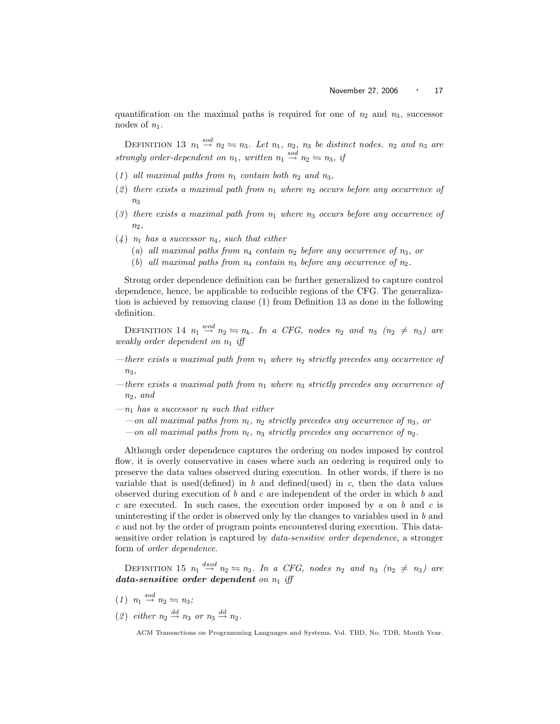quantification on the maximal paths is required for one of  $n_2$  and  $n_3$ , successor nodes of  $n_1$ .

DEFINITION 13  $n_1 \stackrel{sod}{\rightarrow} n_2 \leftrightharpoons n_3$ . Let  $n_1$ ,  $n_2$ ,  $n_3$  be distinct nodes.  $n_2$  and  $n_3$  are strongly order-dependent on  $n_1$ , written  $n_1 \stackrel{sod}{\rightarrow} n_2 \leftrightharpoons n_3$ , if

- (1) all maximal paths from  $n_1$  contain both  $n_2$  and  $n_3$ ,
- (2) there exists a maximal path from  $n_1$  where  $n_2$  occurs before any occurrence of  $n<sub>3</sub>$
- (3) there exists a maximal path from  $n_1$  where  $n_3$  occurs before any occurrence of  $n<sub>2</sub>$ ,
- $(4)$   $n_1$  has a successor  $n_4$ , such that either
	- (a) all maximal paths from  $n_4$  contain  $n_2$  before any occurrence of  $n_3$ , or
	- (b) all maximal paths from  $n_4$  contain  $n_3$  before any occurrence of  $n_2$ .

Strong order dependence definition can be further generalized to capture control dependence, hence, be applicable to reducible regions of the CFG. The generalization is achieved by removing clause (1) from Definition 13 as done in the following definition.

DEFINITION 14  $n_1 \stackrel{wod}{\rightarrow} n_2 \leftrightharpoons n_k$ . In a CFG, nodes  $n_2$  and  $n_3$   $(n_2 \neq n_3)$  are weakly order dependent on  $n_1$  iff

- —there exists a maximal path from  $n_1$  where  $n_2$  strictly precedes any occurrence of  $n_3$
- —there exists a maximal path from  $n_1$  where  $n_3$  strictly precedes any occurrence of  $n_2$ , and
- $-n_1$  has a successor  $n_l$  such that either
	- $\sim$ on all maximal paths from  $n_l$ ,  $n_2$  strictly precedes any occurrence of  $n_3$ , or
	- —on all maximal paths from  $n_l$ ,  $n_3$  strictly precedes any occurrence of  $n_2$ .

Although order dependence captures the ordering on nodes imposed by control flow, it is overly conservative in cases where such an ordering is required only to preserve the data values observed during execution. In other words, if there is no variable that is used(defined) in b and defined(used) in c, then the data values observed during execution of b and c are independent of the order in which b and c are executed. In such cases, the execution order imposed by a on b and c is uninteresting if the order is observed only by the changes to variables used in b and c and not by the order of program points encountered during execution. This datasensitive order relation is captured by *data-sensitive order dependence*, a stronger form of order dependence.

DEFINITION 15  $n_1 \stackrel{dsod}{\rightarrow} n_2 \leftrightharpoons n_3$ . In a CFG, nodes  $n_2$  and  $n_3$  ( $n_2 \neq n_3$ ) are  $data-sensitive order dependent on n<sub>1</sub> iff$ 

- $(1)$   $n_1 \stackrel{sod}{\rightarrow} n_2 \leftrightharpoons n_3;$
- (2) either  $n_2 \stackrel{dd}{\rightarrow} n_3$  or  $n_3 \stackrel{dd}{\rightarrow} n_2$ .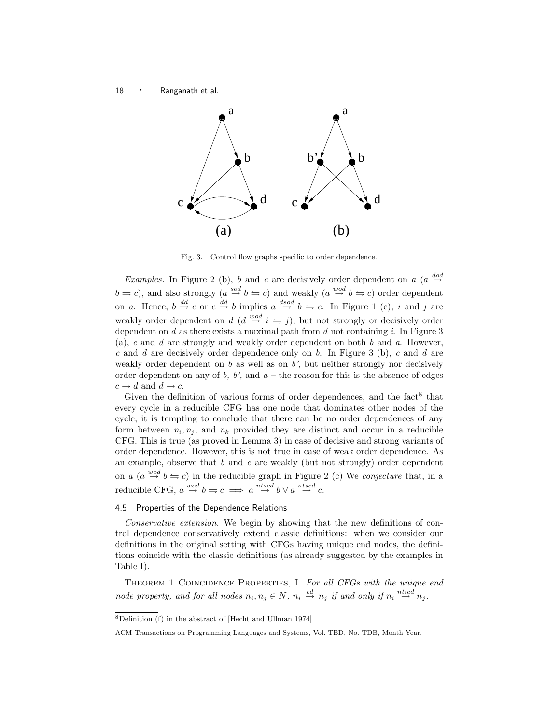

Fig. 3. Control flow graphs specific to order dependence.

*Examples.* In Figure 2 (b), b and c are decisively order dependent on a ( $a \stackrel{dod}{\rightarrow}$  $b \leftrightharpoons c$ , and also strongly  $(a \stackrel{sod}{\rightarrow} b \leftrightharpoons c)$  and weakly  $(a \stackrel{wod}{\rightarrow} b \leftrightharpoons c)$  order dependent on a. Hence,  $b \stackrel{dd}{\rightarrow} c$  or  $c \stackrel{dd}{\rightarrow} b$  implies  $a \stackrel{dsod}{\rightarrow} b \stackrel{d}{\rightarrow} c$ . In Figure 1 (c), i and j are weakly order dependent on  $d$   $(d \stackrel{wod}{\rightarrow} i \stackrel{\sim}{\rightarrow} j)$ , but not strongly or decisively order dependent on  $d$  as there exists a maximal path from  $d$  not containing  $i$ . In Figure 3 (a), c and d are strongly and weakly order dependent on both  $b$  and  $a$ . However, c and d are decisively order dependence only on b. In Figure 3 (b), c and d are weakly order dependent on b as well as on b', but neither strongly nor decisively order dependent on any of b, b', and  $a -$  the reason for this is the absence of edges  $c \rightarrow d$  and  $d \rightarrow c$ .

Given the definition of various forms of order dependences, and the fact<sup>8</sup> that every cycle in a reducible CFG has one node that dominates other nodes of the cycle, it is tempting to conclude that there can be no order dependences of any form between  $n_i, n_j$ , and  $n_k$  provided they are distinct and occur in a reducible CFG. This is true (as proved in Lemma 3) in case of decisive and strong variants of order dependence. However, this is not true in case of weak order dependence. As an example, observe that  $b$  and  $c$  are weakly (but not strongly) order dependent on a  $(a \stackrel{wod}{\rightarrow} b \stackrel{\sim}{\rightarrow} c)$  in the reducible graph in Figure 2 (c) We *conjecture* that, in a reducible CFG,  $a \stackrel{wod}{\rightarrow} b \leftrightharpoons c \implies a \stackrel{ntscd}{\rightarrow} b \vee a \stackrel{ntscd}{\rightarrow} c.$ 

## 4.5 Properties of the Dependence Relations

Conservative extension. We begin by showing that the new definitions of control dependence conservatively extend classic definitions: when we consider our definitions in the original setting with CFGs having unique end nodes, the definitions coincide with the classic definitions (as already suggested by the examples in Table I).

THEOREM 1 COINCIDENCE PROPERTIES, I. For all CFGs with the unique end node property, and for all nodes  $n_i, n_j \in N$ ,  $n_i \stackrel{cd}{\rightarrow} n_j$  if and only if  $n_i \stackrel{nticd}{\rightarrow} n_j$ .

<sup>8</sup>Definition (f) in the abstract of [Hecht and Ullman 1974]

ACM Transactions on Programming Languages and Systems, Vol. TBD, No. TDB, Month Year.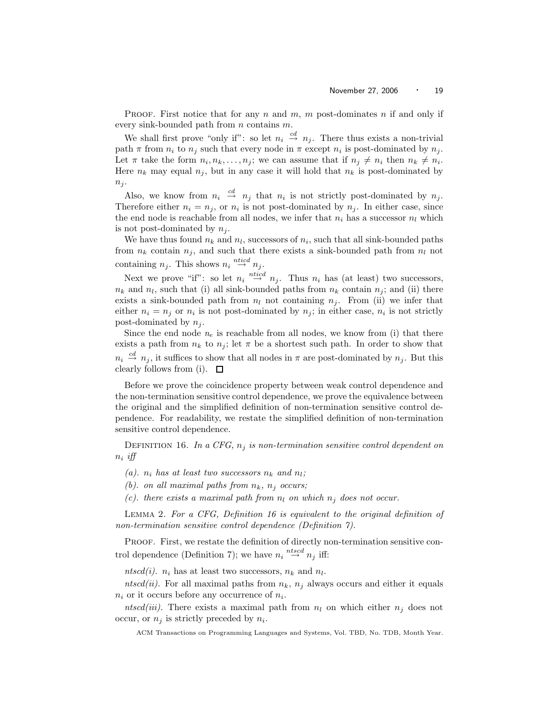PROOF. First notice that for any n and m, m post-dominates n if and only if every sink-bounded path from  $n$  contains  $m$ .

We shall first prove "only if": so let  $n_i \stackrel{cd}{\rightarrow} n_j$ . There thus exists a non-trivial path  $\pi$  from  $n_i$  to  $n_j$  such that every node in  $\pi$  except  $n_i$  is post-dominated by  $n_j$ . Let  $\pi$  take the form  $n_i, n_k, \ldots, n_j$ ; we can assume that if  $n_j \neq n_i$  then  $n_k \neq n_i$ . Here  $n_k$  may equal  $n_j$ , but in any case it will hold that  $n_k$  is post-dominated by  $n_i$ .

Also, we know from  $n_i \stackrel{cd}{\rightarrow} n_j$  that  $n_i$  is not strictly post-dominated by  $n_j$ . Therefore either  $n_i = n_j$ , or  $n_i$  is not post-dominated by  $n_j$ . In either case, since the end node is reachable from all nodes, we infer that  $n_i$  has a successor  $n_l$  which is not post-dominated by  $n_i$ .

We have thus found  $n_k$  and  $n_l$ , successors of  $n_i$ , such that all sink-bounded paths from  $n_k$  contain  $n_j$ , and such that there exists a sink-bounded path from  $n_l$  not containing  $n_j$ . This shows  $n_i \stackrel{ntied}{\rightarrow} n_j$ .

Next we prove "if": so let  $n_i \stackrel{ntied}{\rightarrow} n_j$ . Thus  $n_i$  has (at least) two successors,  $n_k$  and  $n_l$ , such that (i) all sink-bounded paths from  $n_k$  contain  $n_j$ ; and (ii) there exists a sink-bounded path from  $n_l$  not containing  $n_j$ . From (ii) we infer that either  $n_i = n_j$  or  $n_i$  is not post-dominated by  $n_j$ ; in either case,  $n_i$  is not strictly post-dominated by  $n_i$ .

Since the end node  $n_e$  is reachable from all nodes, we know from (i) that there exists a path from  $n_k$  to  $n_j$ ; let  $\pi$  be a shortest such path. In order to show that  $n_i \stackrel{cd}{\rightarrow} n_j$ , it suffices to show that all nodes in  $\pi$  are post-dominated by  $n_j$ . But this clearly follows from (i).  $\Box$ 

Before we prove the coincidence property between weak control dependence and the non-termination sensitive control dependence, we prove the equivalence between the original and the simplified definition of non-termination sensitive control dependence. For readability, we restate the simplified definition of non-termination sensitive control dependence.

DEFINITION 16. In a CFG,  $n_i$  is non-termination sensitive control dependent on  $n_i$  iff

(a).  $n_i$  has at least two successors  $n_k$  and  $n_l$ ;

(b). on all maximal paths from  $n_k$ ,  $n_j$  occurs;

(c). there exists a maximal path from  $n_l$  on which  $n_j$  does not occur.

Lemma 2. For a CFG, Definition 16 is equivalent to the original definition of non-termination sensitive control dependence (Definition 7).

PROOF. First, we restate the definition of directly non-termination sensitive control dependence (Definition 7); we have  $n_i \stackrel{ntscd}{\rightarrow} n_j$  iff:

ntscd(i).  $n_i$  has at least two successors,  $n_k$  and  $n_l$ .

ntscd(ii). For all maximal paths from  $n_k$ ,  $n_j$  always occurs and either it equals  $n_i$  or it occurs before any occurrence of  $n_i$ .

ntscd(iii). There exists a maximal path from  $n_l$  on which either  $n_i$  does not occur, or  $n_j$  is strictly preceded by  $n_i$ .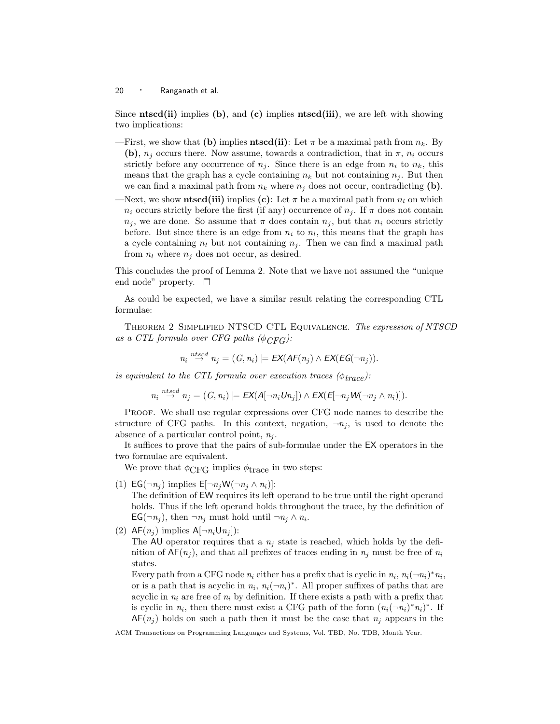Since  $\text{ntscd}(ii)$  implies (b), and (c) implies  $\text{ntscd}(iii)$ , we are left with showing two implications:

- —First, we show that (b) implies **ntscd**(ii): Let  $\pi$  be a maximal path from  $n_k$ . By (b),  $n_i$  occurs there. Now assume, towards a contradiction, that in  $\pi$ ,  $n_i$  occurs strictly before any occurrence of  $n_j$ . Since there is an edge from  $n_i$  to  $n_k$ , this means that the graph has a cycle containing  $n_k$  but not containing  $n_i$ . But then we can find a maximal path from  $n_k$  where  $n_j$  does not occur, contradicting (b).
- —Next, we show **ntscd(iii)** implies (c): Let  $\pi$  be a maximal path from  $n_l$  on which  $n_i$  occurs strictly before the first (if any) occurrence of  $n_j$ . If  $\pi$  does not contain  $n_i$ , we are done. So assume that  $\pi$  does contain  $n_i$ , but that  $n_i$  occurs strictly before. But since there is an edge from  $n_i$  to  $n_l$ , this means that the graph has a cycle containing  $n_l$  but not containing  $n_j$ . Then we can find a maximal path from  $n_l$  where  $n_j$  does not occur, as desired.

This concludes the proof of Lemma 2. Note that we have not assumed the "unique end node" property.  $\square$ 

As could be expected, we have a similar result relating the corresponding CTL formulae:

Theorem 2 Simplified NTSCD CTL Equivalence. The expression of NTSCD as a CTL formula over CFG paths  $(\phi_{CFG})$ :

$$
n_i \stackrel{ntscd}{\to} n_j = (G, n_i) \models EX(AF(n_j) \land EX(EG(\neg n_j)).
$$

is equivalent to the CTL formula over execution traces  $(\phi_{trace})$ :

$$
n_i \stackrel{ntscd}{\rightarrow} n_j = (G, n_i) \models EX(A[\neg n_i Un_j]) \land EX(E[\neg n_j W(\neg n_j \land n_i)]).
$$

Proof. We shall use regular expressions over CFG node names to describe the structure of CFG paths. In this context, negation,  $\neg n_i$ , is used to denote the absence of a particular control point,  $n_i$ .

It suffices to prove that the pairs of sub-formulae under the EX operators in the two formulae are equivalent.

We prove that  $\phi_{\text{CFG}}$  implies  $\phi_{\text{trace}}$  in two steps:

(1) EG( $\neg n_i$ ) implies E $\neg n_i$ W( $\neg n_i \wedge n_i$ ):

The definition of EW requires its left operand to be true until the right operand holds. Thus if the left operand holds throughout the trace, by the definition of  $\mathsf{EG}(\neg n_j)$ , then  $\neg n_j$  must hold until  $\neg n_j \wedge n_i$ .

(2)  $AF(n_i)$  implies  $A[\neg n_i \cup n_j]$ :

The AU operator requires that a  $n_i$  state is reached, which holds by the definition of  $AF(n<sub>j</sub>)$ , and that all prefixes of traces ending in  $n<sub>j</sub>$  must be free of  $n<sub>i</sub>$ states.

Every path from a CFG node  $n_i$  either has a prefix that is cyclic in  $n_i$ ,  $n_i(-n_i)^*n_i$ , or is a path that is acyclic in  $n_i$ ,  $n_i(-n_i)^*$ . All proper suffixes of paths that are acyclic in  $n_i$  are free of  $n_i$  by definition. If there exists a path with a prefix that is cyclic in  $n_i$ , then there must exist a CFG path of the form  $(n_i(-n_i)^*n_i)^*$ . If  $AF(n_i)$  holds on such a path then it must be the case that  $n_i$  appears in the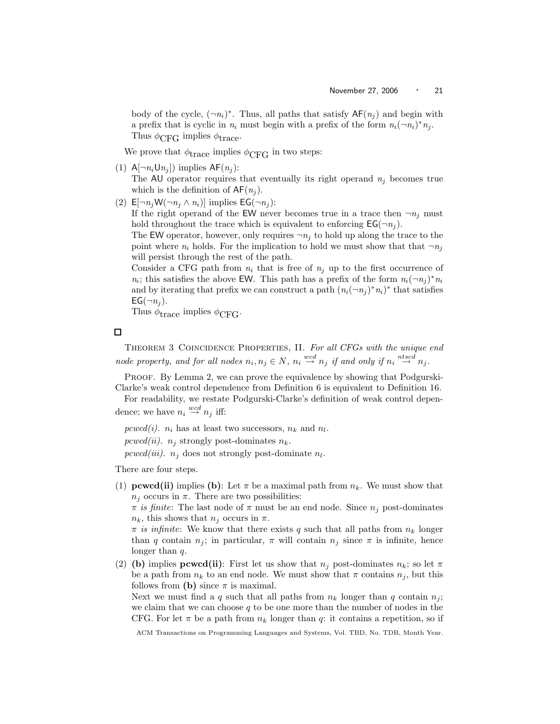body of the cycle,  $(\neg n_i)^*$ . Thus, all paths that satisfy  $AF(n_j)$  and begin with a prefix that is cyclic in  $n_i$  must begin with a prefix of the form  $n_i(-n_i)^* n_j$ . Thus  $\phi_{\text{CFG}}$  implies  $\phi_{\text{trace}}$ .

We prove that  $\phi_{\text{trace}}$  implies  $\phi_{\text{CFG}}$  in two steps:

(1)  $A[\neg n_i \cup n_j]$  implies  $AF(n_i)$ :

The AU operator requires that eventually its right operand  $n_i$  becomes true which is the definition of  $AF(n_i)$ .

(2)  $E[\neg n_i \mathsf{W}(\neg n_i \wedge n_i)]$  implies  $EG(\neg n_i)$ :

If the right operand of the EW never becomes true in a trace then  $\neg n_i$  must hold throughout the trace which is equivalent to enforcing  $\mathsf{EG}(\neg n_i)$ .

The EW operator, however, only requires  $\neg n_i$  to hold up along the trace to the point where  $n_i$  holds. For the implication to hold we must show that that  $\neg n_i$ will persist through the rest of the path.

Consider a CFG path from  $n_i$  that is free of  $n_j$  up to the first occurrence of  $n_i$ ; this satisfies the above EW. This path has a prefix of the form  $n_i(-n_j)^* n_i$ and by iterating that prefix we can construct a path  $(n_i(-n_j)^*n_i)^*$  that satisfies  $EG(\neg n_i)$ .

Thus  $\phi_{\text{trace}}$  implies  $\phi_{\text{CFG}}$ .

 $\Box$ 

THEOREM 3 COINCIDENCE PROPERTIES, II. For all CFGs with the unique end node property, and for all nodes  $n_i, n_j \in N$ ,  $n_i \stackrel{wcd}{\rightarrow} n_j$  if and only if  $n_i \stackrel{ntscd}{\rightarrow} n_j$ .

PROOF. By Lemma 2, we can prove the equivalence by showing that Podgurski-Clarke's weak control dependence from Definition 6 is equivalent to Definition 16.

For readability, we restate Podgurski-Clarke's definition of weak control dependence; we have  $n_i \stackrel{wcd}{\rightarrow} n_j$  iff:

pcwcd(i).  $n_i$  has at least two successors,  $n_k$  and  $n_l$ .

*pcwcd(ii).*  $n_j$  strongly post-dominates  $n_k$ .

pcwcd(iii).  $n_j$  does not strongly post-dominate  $n_l$ .

There are four steps.

(1) pcwcd(ii) implies (b): Let  $\pi$  be a maximal path from  $n_k$ . We must show that  $n_i$  occurs in  $\pi$ . There are two possibilities:

 $\pi$  is finite: The last node of  $\pi$  must be an end node. Since  $n_i$  post-dominates  $n_k$ , this shows that  $n_i$  occurs in  $\pi$ .

 $\pi$  is infinite: We know that there exists q such that all paths from  $n_k$  longer than q contain  $n_i$ ; in particular,  $\pi$  will contain  $n_i$  since  $\pi$  is infinite, hence longer than q.

(2) (b) implies pcwcd(ii): First let us show that  $n_j$  post-dominates  $n_k$ ; so let  $\pi$ be a path from  $n_k$  to an end node. We must show that  $\pi$  contains  $n_j$ , but this follows from (b) since  $\pi$  is maximal.

Next we must find a q such that all paths from  $n_k$  longer than q contain  $n_j$ ; we claim that we can choose  $q$  to be one more than the number of nodes in the CFG. For let  $\pi$  be a path from  $n_k$  longer than q: it contains a repetition, so if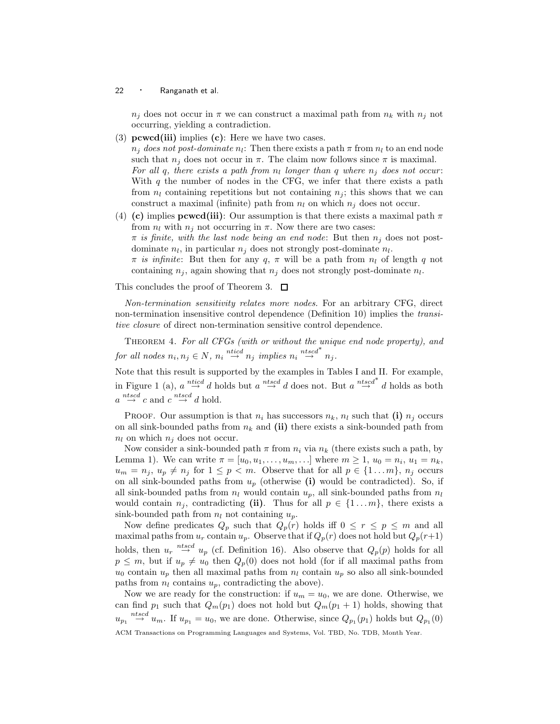$n_i$  does not occur in  $\pi$  we can construct a maximal path from  $n_k$  with  $n_i$  not occurring, yielding a contradiction.

(3)  $\bold{p}$  cwcd(iii) implies (c): Here we have two cases.

 $n_j$  does not post-dominate  $n_l$ : Then there exists a path  $\pi$  from  $n_l$  to an end node such that  $n_j$  does not occur in  $\pi$ . The claim now follows since  $\pi$  is maximal. For all q, there exists a path from  $n_l$  longer than q where  $n_j$  does not occur: With  $q$  the number of nodes in the CFG, we infer that there exists a path from  $n_l$  containing repetitions but not containing  $n_j$ ; this shows that we can construct a maximal (infinite) path from  $n_l$  on which  $n_j$  does not occur.

(4) (c) implies pcwcd(iii): Our assumption is that there exists a maximal path  $\pi$ from  $n_l$  with  $n_j$  not occurring in  $\pi$ . Now there are two cases:  $\pi$  is finite, with the last node being an end node: But then  $n_i$  does not postdominate  $n_l$ , in particular  $n_j$  does not strongly post-dominate  $n_l$ .  $\pi$  is infinite: But then for any q,  $\pi$  will be a path from  $n_l$  of length q not containing  $n_j$ , again showing that  $n_j$  does not strongly post-dominate  $n_l$ .

This concludes the proof of Theorem 3.  $\Box$ 

Non-termination sensitivity relates more nodes. For an arbitrary CFG, direct non-termination insensitive control dependence (Definition 10) implies the transitive closure of direct non-termination sensitive control dependence.

THEOREM 4. For all CFGs (with or without the unique end node property), and for all nodes  $n_i, n_j \in N$ ,  $n_i \stackrel{ntied}{\rightarrow} n_j$  implies  $n_i \stackrel{ntscd^*}{\rightarrow}$  $n_j$ .

Note that this result is supported by the examples in Tables I and II. For example, in Figure 1 (a), a  $\int_{-\infty}^{n} d$  holds but a  $\int_{-\infty}^{n} d$  does not. But a  $\int_{-\infty}^{n} d^2$ d holds as both  $a \stackrel{ntscd}{\rightarrow} c$  and  $c \stackrel{ntscd}{\rightarrow} d$  hold.

**PROOF.** Our assumption is that  $n_i$  has successors  $n_k$ ,  $n_l$  such that (i)  $n_j$  occurs on all sink-bounded paths from  $n_k$  and (ii) there exists a sink-bounded path from  $n_l$  on which  $n_j$  does not occur.

Now consider a sink-bounded path  $\pi$  from  $n_i$  via  $n_k$  (there exists such a path, by Lemma 1). We can write  $\pi = [u_0, u_1, \dots, u_m, \dots]$  where  $m \ge 1, u_0 = n_i, u_1 = n_k$ ,  $u_m = n_j, u_p \neq n_j \text{ for } 1 \leq p < m.$  Observe that for all  $p \in \{1 \dots m\}, n_j \text{ occurs}$ on all sink-bounded paths from  $u_p$  (otherwise (i) would be contradicted). So, if all sink-bounded paths from  $n_l$  would contain  $u_p$ , all sink-bounded paths from  $n_l$ would contain  $n_i$ , contradicting (ii). Thus for all  $p \in \{1...m\}$ , there exists a sink-bounded path from  $n_l$  not containing  $u_p$ .

Now define predicates  $Q_p$  such that  $Q_p(r)$  holds iff  $0 \le r \le p \le m$  and all maximal paths from  $u_r$  contain  $u_p$ . Observe that if  $Q_p(r)$  does not hold but  $Q_p(r+1)$ holds, then  $u_r \stackrel{ntscd}{\rightarrow} u_p$  (cf. Definition 16). Also observe that  $Q_p(p)$  holds for all  $p \leq m$ , but if  $u_p \neq u_0$  then  $Q_p(0)$  does not hold (for if all maximal paths from  $u_0$  contain  $u_p$  then all maximal paths from  $n_l$  contain  $u_p$  so also all sink-bounded paths from  $n_l$  contains  $u_p$ , contradicting the above).

Now we are ready for the construction: if  $u_m = u_0$ , we are done. Otherwise, we can find  $p_1$  such that  $Q_m(p_1)$  does not hold but  $Q_m(p_1 + 1)$  holds, showing that  $u_{p_1} \stackrel{ntsed}{\rightarrow} u_m$ . If  $u_{p_1} = u_0$ , we are done. Otherwise, since  $Q_{p_1}(p_1)$  holds but  $Q_{p_1}(0)$ ACM Transactions on Programming Languages and Systems, Vol. TBD, No. TDB, Month Year.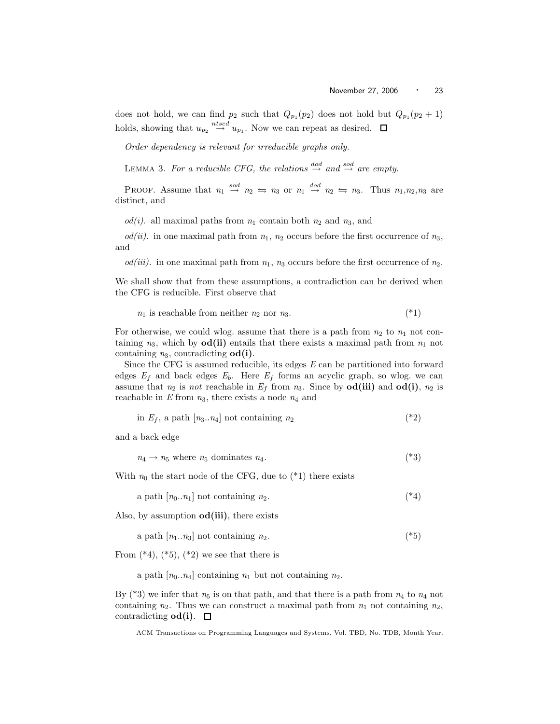does not hold, we can find  $p_2$  such that  $Q_{p_1}(p_2)$  does not hold but  $Q_{p_1}(p_2+1)$ holds, showing that  $u_{p_2} \stackrel{ntscd}{\rightarrow} u_{p_1}$ . Now we can repeat as desired.

Order dependency is relevant for irreducible graphs only.

LEMMA 3. For a reducible CFG, the relations  $\stackrel{dod}{\rightarrow}$  and  $\stackrel{sod}{\rightarrow}$  are empty.

PROOF. Assume that  $n_1 \stackrel{sod}{\rightarrow} n_2 \leftrightharpoons n_3$  or  $n_1 \stackrel{dod}{\rightarrow} n_2 \leftrightharpoons n_3$ . Thus  $n_1, n_2, n_3$  are distinct, and

od(i). all maximal paths from  $n_1$  contain both  $n_2$  and  $n_3$ , and

od(ii). in one maximal path from  $n_1$ ,  $n_2$  occurs before the first occurrence of  $n_3$ , and

od(iii). in one maximal path from  $n_1$ ,  $n_3$  occurs before the first occurrence of  $n_2$ .

We shall show that from these assumptions, a contradiction can be derived when the CFG is reducible. First observe that

$$
n_1 \t{ is reachable from neither } n_2 \t{ nor } n_3. \t{(*)}
$$

For otherwise, we could wlog. assume that there is a path from  $n_2$  to  $n_1$  not containing  $n_3$ , which by **od(ii)** entails that there exists a maximal path from  $n_1$  not containing  $n_3$ , contradicting **od**(i).

Since the CFG is assumed reducible, its edges E can be partitioned into forward edges  $E_f$  and back edges  $E_b$ . Here  $E_f$  forms an acyclic graph, so wlog. we can assume that  $n_2$  is not reachable in  $E_f$  from  $n_3$ . Since by **od(iii)** and **od(i)**,  $n_2$  is reachable in  $E$  from  $n_3$ , there exists a node  $n_4$  and

in 
$$
E_f
$$
, a path  $[n_3..n_4]$  not containing  $n_2$  (\*)

and a back edge

 $n_4 \rightarrow n_5$  where  $n_5$  dominates  $n_4$ . (\*3)

With  $n_0$  the start node of the CFG, due to  $(*1)$  there exists

a path  $[n_0..n_1]$  not containing  $n_2$ .  $(4)$ 

Also, by assumption  $od(iii)$ , there exists

a path 
$$
[n_1..n_3]
$$
 not containing  $n_2$ . (\*)

From  $(*4)$ ,  $(*5)$ ,  $(*2)$  we see that there is

a path  $[n_0..n_4]$  containing  $n_1$  but not containing  $n_2$ .

By  $(*3)$  we infer that  $n_5$  is on that path, and that there is a path from  $n_4$  to  $n_4$  not containing  $n_2$ . Thus we can construct a maximal path from  $n_1$  not containing  $n_2$ , contradicting od(i). 口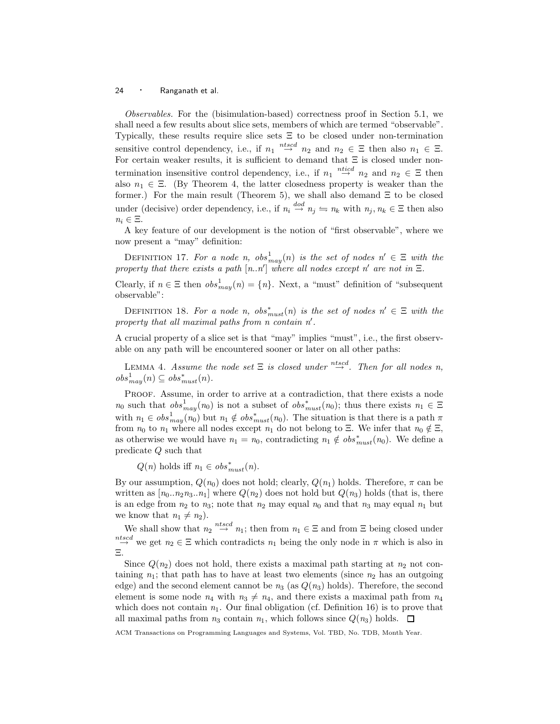Observables. For the (bisimulation-based) correctness proof in Section 5.1, we shall need a few results about slice sets, members of which are termed "observable". Typically, these results require slice sets Ξ to be closed under non-termination sensitive control dependency, i.e., if  $n_1 \stackrel{ntscd}{\rightarrow} n_2$  and  $n_2 \in \Xi$  then also  $n_1 \in \Xi$ . For certain weaker results, it is sufficient to demand that Ξ is closed under nontermination insensitive control dependency, i.e., if  $n_1 \stackrel{ntied}{\rightarrow} n_2$  and  $n_2 \in \Xi$  then also  $n_1 \in \Xi$ . (By Theorem 4, the latter closedness property is weaker than the former.) For the main result (Theorem 5), we shall also demand  $\Xi$  to be closed under (decisive) order dependency, i.e., if  $n_i \stackrel{dod}{\rightarrow} n_j \leftrightharpoons n_k$  with  $n_j, n_k \in \Xi$  then also  $n_i \in \Xi$ .

A key feature of our development is the notion of "first observable", where we now present a "may" definition:

DEFINITION 17. For a node n,  $obs_{may}^1(n)$  is the set of nodes  $n' \in \Xi$  with the property that there exists a path  $[n..n']$  where all nodes except n' are not in  $\Xi$ .

Clearly, if  $n \in \Xi$  then  $obs_{may}^1(n) = \{n\}$ . Next, a "must" definition of "subsequent" observable":

DEFINITION 18. For a node n,  $obs_{must}^*(n)$  is the set of nodes  $n' \in \Xi$  with the property that all maximal paths from  $n$  contain  $n'$ .

A crucial property of a slice set is that "may" implies "must", i.e., the first observable on any path will be encountered sooner or later on all other paths:

LEMMA 4. Assume the node set  $\Xi$  is closed under  $\stackrel{ntscd}{\rightarrow}$ . Then for all nodes n,  $obs_{may}^1(n) \subseteq obs_{must}^*(n)$ .

PROOF. Assume, in order to arrive at a contradiction, that there exists a node  $n_0$  such that  $obs_{may}^1(n_0)$  is not a subset of  $obs_{must}^*(n_0)$ ; thus there exists  $n_1 \in \Xi$ with  $n_1 \in obs_{may}^1(n_0)$  but  $n_1 \notin obs_{must}^*(n_0)$ . The situation is that there is a path  $\pi$ from  $n_0$  to  $n_1$  where all nodes except  $n_1$  do not belong to  $\Xi$ . We infer that  $n_0 \notin \Xi$ , as otherwise we would have  $n_1 = n_0$ , contradicting  $n_1 \notin obs_{must}^*(n_0)$ . We define a predicate Q such that

 $Q(n)$  holds iff  $n_1 \in obs_{must}^*(n)$ .

By our assumption,  $Q(n_0)$  does not hold; clearly,  $Q(n_1)$  holds. Therefore,  $\pi$  can be written as  $[n_0..n_2n_3..n_1]$  where  $Q(n_2)$  does not hold but  $Q(n_3)$  holds (that is, there is an edge from  $n_2$  to  $n_3$ ; note that  $n_2$  may equal  $n_0$  and that  $n_3$  may equal  $n_1$  but we know that  $n_1 \neq n_2$ ).

We shall show that  $n_2 \stackrel{ntscd}{\rightarrow} n_1$ ; then from  $n_1 \in \Xi$  and from  $\Xi$  being closed under  $\stackrel{ntsed}{\rightarrow}$  we get  $n_2 \in \Xi$  which contradicts  $n_1$  being the only node in  $\pi$  which is also in Ξ.

Since  $Q(n_2)$  does not hold, there exists a maximal path starting at  $n_2$  not containing  $n_1$ ; that path has to have at least two elements (since  $n_2$  has an outgoing edge) and the second element cannot be  $n_3$  (as  $Q(n_3)$  holds). Therefore, the second element is some node  $n_4$  with  $n_3 \neq n_4$ , and there exists a maximal path from  $n_4$ which does not contain  $n_1$ . Our final obligation (cf. Definition 16) is to prove that all maximal paths from  $n_3$  contain  $n_1$ , which follows since  $Q(n_3)$  holds.  $\Box$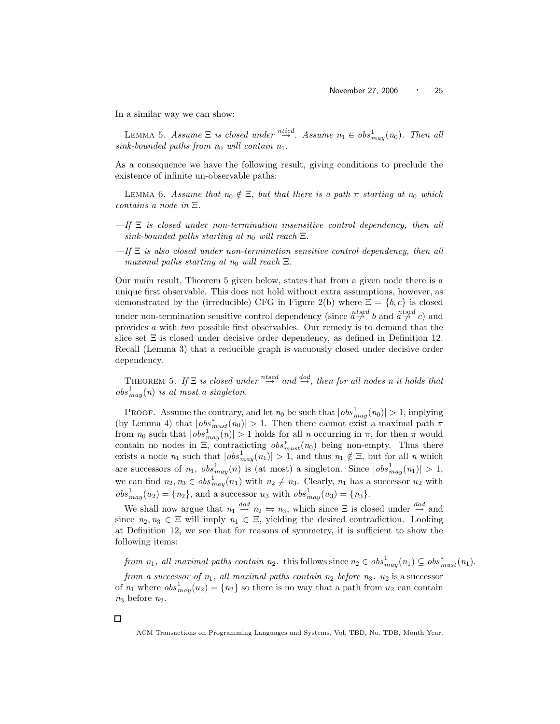In a similar way we can show:

LEMMA 5. Assume  $\Xi$  is closed under  $\stackrel{ntied}{\rightarrow}$ . Assume  $n_1 \in obs_{may}^1(n_0)$ . Then all sink-bounded paths from  $n_0$  will contain  $n_1$ .

As a consequence we have the following result, giving conditions to preclude the existence of infinite un-observable paths:

LEMMA 6. Assume that  $n_0 \notin \Xi$ , but that there is a path  $\pi$  starting at  $n_0$  which contains a node in Ξ.

- $-If \equiv$  is closed under non-termination insensitive control dependency, then all sink-bounded paths starting at  $n_0$  will reach  $\Xi$ .
- $-If \equiv$  is also closed under non-termination sensitive control dependency, then all maximal paths starting at  $n_0$  will reach  $\Xi$ .

Our main result, Theorem 5 given below, states that from a given node there is a unique first observable. This does not hold without extra assumptions, however, as demonstrated by the (irreducible) CFG in Figure 2(b) where  $\Xi = \{b, c\}$  is closed under non-termination sensitive control dependency (since  $\stackrel{ntsgd}{\rightarrow} b$  and  $\stackrel{ntsgd}{\rightarrow} c$ ) and provides a with two possible first observables. Our remedy is to demand that the slice set Ξ is closed under decisive order dependency, as defined in Definition 12. Recall (Lemma 3) that a reducible graph is vacuously closed under decisive order dependency.

THEOREM 5. If  $\Xi$  is closed under  $\stackrel{ntscd}{\rightarrow}$  and  $\stackrel{dod}{\rightarrow}$ , then for all nodes n it holds that  $obs_{may}^1(n)$  is at most a singleton.

**PROOF.** Assume the contrary, and let  $n_0$  be such that  $|obs_{may}^1(n_0)| > 1$ , implying (by Lemma 4) that  $|obs^*_{must}(n_0)| > 1$ . Then there cannot exist a maximal path  $\pi$ from  $n_0$  such that  $|obs_{may}^1(n)| > 1$  holds for all n occurring in  $\pi$ , for then  $\pi$  would contain no nodes in  $\Xi$ , contradicting  $obs_{must}^*(n_0)$  being non-empty. Thus there exists a node  $n_1$  such that  $|obs_{may}^1(n_1)| > 1$ , and thus  $n_1 \notin \Xi$ , but for all n which are successors of  $n_1$ ,  $obs_{may}^1(n)$  is (at most) a singleton. Since  $|obs_{may}^1(n_1)| > 1$ , we can find  $n_2, n_3 \in obs_{may}^1(n_1)$  with  $n_2 \neq n_3$ . Clearly,  $n_1$  has a successor  $u_2$  with  $obs_{may}^1(u_2) = \{n_2\}$ , and a successor  $u_3$  with  $obs_{may}^1(u_3) = \{n_3\}.$ 

We shall now argue that  $n_1 \stackrel{dod}{\rightarrow} n_2 \leftrightharpoons n_3$ , which since  $\Xi$  is closed under  $\stackrel{dod}{\rightarrow}$  and since  $n_2, n_3 \in \Xi$  will imply  $n_1 \in \Xi$ , yielding the desired contradiction. Looking at Definition 12, we see that for reasons of symmetry, it is sufficient to show the following items:

from  $n_1$ , all maximal paths contain  $n_2$ . this follows since  $n_2 \in obs_{may}^1(n_1) \subseteq obs_{must}^*(n_1)$ .

from a successor of  $n_1$ , all maximal paths contain  $n_2$  before  $n_3$ .  $u_2$  is a successor of  $n_1$  where  $obs_{may}^1(u_2) = \{n_2\}$  so there is no way that a path from  $u_2$  can contain  $n_3$  before  $n_2$ .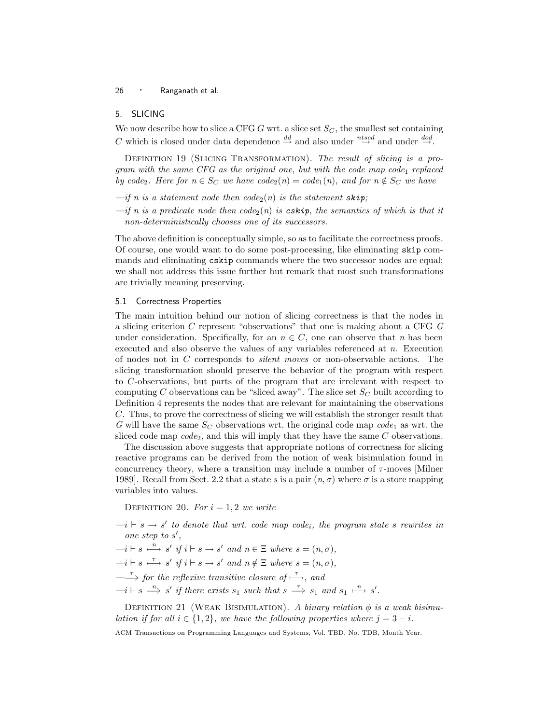## 5. SLICING

We now describe how to slice a CFG G wrt. a slice set  $S_C$ , the smallest set containing C which is closed under data dependence  $\stackrel{dd}{\rightarrow}$  and also under  $\stackrel{ntscd}{\rightarrow}$  and under  $\stackrel{dod}{\rightarrow}$ .

DEFINITION 19 (SLICING TRANSFORMATION). The result of slicing is a program with the same CFG as the original one, but with the code map code<sub>1</sub> replaced by code<sub>2</sub>. Here for  $n \in S_C$  we have  $code_2(n) = code_1(n)$ , and for  $n \notin S_C$  we have

- $-if n$  is a statement node then code<sub>2</sub>(n) is the statement skip;
- $-if n$  is a predicate node then  $code_2(n)$  is  $\text{cskip},$  the semantics of which is that it non-deterministically chooses one of its successors.

The above definition is conceptually simple, so as to facilitate the correctness proofs. Of course, one would want to do some post-processing, like eliminating skip commands and eliminating cskip commands where the two successor nodes are equal; we shall not address this issue further but remark that most such transformations are trivially meaning preserving.

## 5.1 Correctness Properties

The main intuition behind our notion of slicing correctness is that the nodes in a slicing criterion C represent "observations" that one is making about a CFG G under consideration. Specifically, for an  $n \in C$ , one can observe that n has been executed and also observe the values of any variables referenced at n. Execution of nodes not in C corresponds to silent moves or non-observable actions. The slicing transformation should preserve the behavior of the program with respect to C-observations, but parts of the program that are irrelevant with respect to computing C observations can be "sliced away". The slice set  $S_C$  built according to Definition 4 represents the nodes that are relevant for maintaining the observations C. Thus, to prove the correctness of slicing we will establish the stronger result that G will have the same  $S_C$  observations wrt. the original code map  $code_1$  as wrt. the sliced code map  $code_2$ , and this will imply that they have the same  $C$  observations.

The discussion above suggests that appropriate notions of correctness for slicing reactive programs can be derived from the notion of weak bisimulation found in concurrency theory, where a transition may include a number of  $\tau$ -moves [Milner] 1989]. Recall from Sect. 2.2 that a state s is a pair  $(n, \sigma)$  where  $\sigma$  is a store mapping variables into values.

DEFINITION 20. For  $i = 1, 2$  we write

- $-i \vdash s \rightarrow s'$  to denote that wrt. code map code<sub>i</sub>, the program state s rewrites in one step to s ′ ,
- $-i \vdash s \stackrel{n}{\longrightarrow} s'$  if  $i \vdash s \rightarrow s'$  and  $n \in \Xi$  where  $s = (n, \sigma)$ ,
- $-i \vdash s \stackrel{\tau}{\longmapsto} s'$  if  $i \vdash s \rightarrow s'$  and  $n \notin \Xi$  where  $s = (n, \sigma)$ ,
- $\longrightarrow$  for the reflexive transitive closure of  $\stackrel{\tau}{\longmapsto}$ , and
- $-i \vdash s \stackrel{n}{\Longrightarrow} s'$  if there exists  $s_1$  such that  $s \stackrel{\tau}{\Longrightarrow} s_1$  and  $s_1 \stackrel{n}{\longmapsto} s'$ .

DEFINITION 21 (WEAK BISIMULATION). A binary relation  $\phi$  is a weak bisimulation if for all  $i \in \{1,2\}$ , we have the following properties where  $j = 3 - i$ .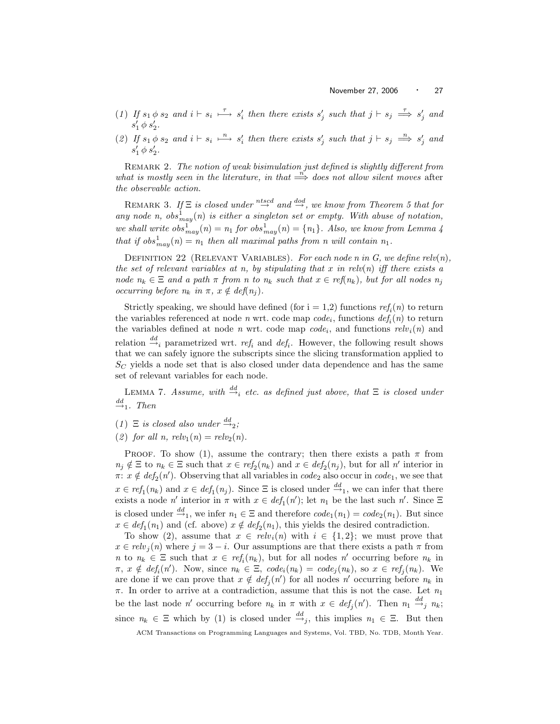- (1) If  $s_1 \phi s_2$  and  $i \vdash s_i \stackrel{\tau}{\longrightarrow} s'_i$  then there exists  $s'_j$  such that  $j \vdash s_j \stackrel{\tau}{\Longrightarrow} s'_j$  and  $s_1' \phi s_2'.$
- (2) If  $s_1 \phi s_2$  and  $i \vdash s_i \stackrel{n}{\longrightarrow} s'_i$  then there exists  $s'_j$  such that  $j \vdash s_j \stackrel{n}{\Longrightarrow} s'_j$  and  $s_1' \phi s_2'.$

REMARK 2. The notion of weak bisimulation just defined is slightly different from what is mostly seen in the literature, in that  $\stackrel{n}{\Longrightarrow}$  does not allow silent moves after the observable action.

REMARK 3. If  $\Xi$  is closed under  $\stackrel{ntscd}{\rightarrow}$  and  $\stackrel{dod}{\rightarrow}$ , we know from Theorem 5 that for any node n,  $obs_{may}^1(n)$  is either a singleton set or empty. With abuse of notation, we shall write  $obs_{may}^1(n) = n_1$  for  $obs_{may}^1(n) = \{n_1\}$ . Also, we know from Lemma 4 that if  $obs_{may}^1(n) = n_1$  then all maximal paths from n will contain  $n_1$ .

DEFINITION 22 (RELEVANT VARIABLES). For each node n in G, we define relv(n), the set of relevant variables at n, by stipulating that x in relv(n) iff there exists a node  $n_k \in \Xi$  and a path  $\pi$  from n to  $n_k$  such that  $x \in ref(n_k)$ , but for all nodes  $n_j$ occurring before  $n_k$  in  $\pi$ ,  $x \notin \text{def}(n_j)$ .

Strictly speaking, we should have defined (for  $i = 1, 2$ ) functions  $ref_i(n)$  to return the variables referenced at node *n* wrt. code map  $code_i$ , functions  $def_i(n)$  to return the variables defined at node *n* wrt. code map  $code_i$ , and functions  $relu_i(n)$  and relation  $\stackrel{dd}{\rightarrow}_i$  parametrized wrt. re $f_i$  and  $def_i$ . However, the following result shows that we can safely ignore the subscripts since the slicing transformation applied to  $S<sub>C</sub>$  yields a node set that is also closed under data dependence and has the same set of relevant variables for each node.

LEMMA 7. Assume, with  $\stackrel{dd}{\rightarrow}_i$  etc. as defined just above, that  $\Xi$  is closed under  $\stackrel{dd}{\rightarrow}_1$ . Then

- (1)  $\Xi$  is closed also under  $\stackrel{dd}{\rightarrow}_2$ ;
- (2) for all n,  $relu_1(n) = relu_2(n)$ .

PROOF. To show (1), assume the contrary; then there exists a path  $\pi$  from  $n_j \notin \Xi$  to  $n_k \in \Xi$  such that  $x \in ref_2(n_k)$  and  $x \in def_2(n_j)$ , but for all  $n'$  interior in  $\pi: x \notin def_2(n')$ . Observing that all variables in code<sub>2</sub> also occur in code<sub>1</sub>, we see that  $x \in ref_1(n_k)$  and  $x \in def_1(n_j)$ . Since  $\Xi$  is closed under  $\stackrel{dd}{\to}_1$ , we can infer that there exists a node n' interior in  $\pi$  with  $x \in def_1(n')$ ; let  $n_1$  be the last such n'. Since  $\Xi$ is closed under  $\stackrel{dd}{\rightarrow}_1$ , we infer  $n_1 \in \Xi$  and therefore  $code_1(n_1) = code_2(n_1)$ . But since  $x \in def_1(n_1)$  and (cf. above)  $x \notin def_2(n_1)$ , this yields the desired contradiction.

To show (2), assume that  $x \in relv_i(n)$  with  $i \in \{1,2\}$ ; we must prove that  $x \in relv_i(n)$  where  $j = 3 - i$ . Our assumptions are that there exists a path  $\pi$  from n to  $n_k \in \Xi$  such that  $x \in ref_i(n_k)$ , but for all nodes n' occurring before  $n_k$  in  $\pi, x \notin \text{def}_i(n')$ . Now, since  $n_k \in \Xi$ ,  $\text{code}_i(n_k) = \text{code}_j(n_k)$ , so  $x \in \text{ref}_j(n_k)$ . We are done if we can prove that  $x \notin def_j(n')$  for all nodes n' occurring before  $n_k$  in  $\pi$ . In order to arrive at a contradiction, assume that this is not the case. Let  $n_1$ be the last node n' occurring before  $n_k$  in  $\pi$  with  $x \in def_j(n')$ . Then  $n_1 \stackrel{dd}{\rightarrow} n_k$ ; since  $n_k \in \Xi$  which by (1) is closed under  $\stackrel{dd}{\to}_i$ , this implies  $n_1 \in \Xi$ . But then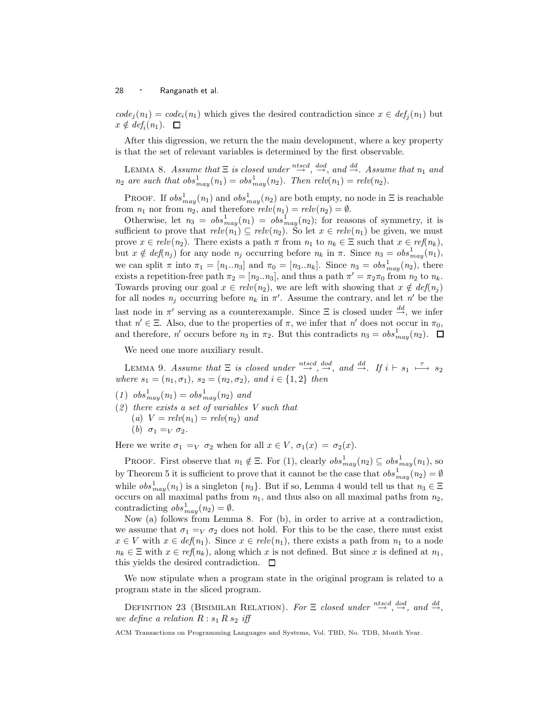$code_j(n_1) = code_i(n_1)$  which gives the desired contradiction since  $x \in def_j(n_1)$  but  $x \notin \textit{def}_i(n_1).$ 

After this digression, we return the the main development, where a key property is that the set of relevant variables is determined by the first observable.

LEMMA 8. Assume that  $\Xi$  is closed under  $\stackrel{ntscd}{\rightarrow}$ ,  $\stackrel{dod}{\rightarrow}$ , and  $\stackrel{dd}{\rightarrow}$ . Assume that  $n_1$  and  $n_2$  are such that  $obs_{may}^1(n_1) = obs_{may}^1(n_2)$ . Then  $relu(n_1) = relu(n_2)$ .

PROOF. If  $obs_{may}^1(n_1)$  and  $obs_{may}^1(n_2)$  are both empty, no node in  $\Xi$  is reachable from  $n_1$  nor from  $n_2$ , and therefore  $relv(n_1) = relv(n_2) = \emptyset$ .

Otherwise, let  $n_3 = obs_{may}^1(n_1) = obs_{may}^1(n_2)$ ; for reasons of symmetry, it is sufficient to prove that  $relu(n_1) \subseteq relv(n_2)$ . So let  $x \in relv(n_1)$  be given, we must prove  $x \in relv(n_2)$ . There exists a path  $\pi$  from  $n_1$  to  $n_k \in \Xi$  such that  $x \in ref(n_k)$ , but  $x \notin \text{def}(n_j)$  for any node  $n_j$  occurring before  $n_k$  in  $\pi$ . Since  $n_3 = \text{obs}_{\text{may}}^1(n_1)$ , we can split  $\pi$  into  $\pi_1 = [n_1..n_3]$  and  $\pi_0 = [n_3..n_k]$ . Since  $n_3 = obs_{may}^1(n_2)$ , there exists a repetition-free path  $\pi_2 = [n_2..n_3]$ , and thus a path  $\pi' = \pi_2 \pi_0$  from  $n_2$  to  $n_k$ . Towards proving our goal  $x \in relv(n_2)$ , we are left with showing that  $x \notin def(n_i)$ for all nodes  $n_j$  occurring before  $n_k$  in  $\pi'$ . Assume the contrary, and let n' be the last node in  $\pi'$  serving as a counterexample. Since  $\Xi$  is closed under  $\stackrel{dd}{\rightarrow}$ , we infer that  $n' \in \Xi$ . Also, due to the properties of  $\pi$ , we infer that n' does not occur in  $\pi_0$ , and therefore, n' occurs before  $n_3$  in  $\pi_2$ . But this contradicts  $n_3 = obs_{may}^1(n_2)$ .

We need one more auxiliary result.

LEMMA 9. Assume that  $\Xi$  is closed under  $\stackrel{ntscd}{\longrightarrow}$ ,  $\stackrel{dod}{\longrightarrow}$ , and  $\stackrel{dd}{\longrightarrow}$ . If  $i \vdash s_1 \stackrel{\tau}{\longmapsto} s_2$ where  $s_1 = (n_1, \sigma_1)$ ,  $s_2 = (n_2, \sigma_2)$ , and  $i \in \{1, 2\}$  then

- (1)  $obs_{may}^1(n_1) = obs_{may}^1(n_2)$  and
- (2) there exists a set of variables V such that (a)  $V =$  relv(n<sub>1</sub>) = relv(n<sub>2</sub>) and
	- (b)  $\sigma_1 =_V \sigma_2$ .

Here we write  $\sigma_1 =_V \sigma_2$  when for all  $x \in V$ ,  $\sigma_1(x) = \sigma_2(x)$ .

PROOF. First observe that  $n_1 \notin \Xi$ . For (1), clearly  $obs_{may}^1(n_2) \subseteq obs_{may}^1(n_1)$ , so by Theorem 5 it is sufficient to prove that it cannot be the case that  $obs_{may}^1(n_2) = \emptyset$ while  $obs_{may}^1(n_1)$  is a singleton  $\{n_3\}$ . But if so, Lemma 4 would tell us that  $n_3 \in \Xi$ occurs on all maximal paths from  $n_1$ , and thus also on all maximal paths from  $n_2$ , contradicting  $obs_{may}^1(n_2) = \emptyset$ .

Now (a) follows from Lemma 8. For (b), in order to arrive at a contradiction, we assume that  $\sigma_1 =_V \sigma_2$  does not hold. For this to be the case, there must exist  $x \in V$  with  $x \in def(n_1)$ . Since  $x \in relv(n_1)$ , there exists a path from  $n_1$  to a node  $n_k \in \Xi$  with  $x \in ref(n_k)$ , along which x is not defined. But since x is defined at  $n_1$ , this yields the desired contradiction.  $\Box$ 

We now stipulate when a program state in the original program is related to a program state in the sliced program.

DEFINITION 23 (BISIMILAR RELATION). For  $\Xi$  closed under  $\stackrel{ntscd, dod}{\longrightarrow}$ ,  $\stackrel{nd}{\longrightarrow}$ , and  $\stackrel{dd}{\longrightarrow}$ , we define a relation  $R: s_1 R s_2$  iff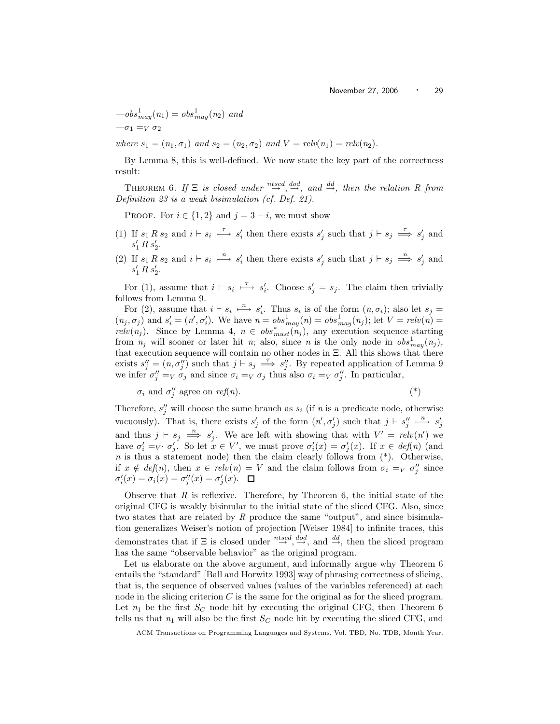$$
-obs_{may}^{1}(n_1) = obs_{may}^{1}(n_2) \text{ and}
$$
  

$$
-\sigma_1 =_V \sigma_2
$$

where  $s_1 = (n_1, \sigma_1)$  and  $s_2 = (n_2, \sigma_2)$  and  $V = relv(n_1) = relv(n_2)$ .

By Lemma 8, this is well-defined. We now state the key part of the correctness result:

THEOREM 6. If  $\Xi$  is closed under  $\stackrel{ntscd}{\rightarrow}$ ,  $\stackrel{dod}{\rightarrow}$ , and  $\stackrel{dd}{\rightarrow}$ , then the relation R from Definition 23 is a weak bisimulation (cf. Def. 21).

PROOF. For  $i \in \{1,2\}$  and  $j=3-i$ , we must show

- (1) If  $s_1 R s_2$  and  $i \vdash s_i \stackrel{\tau}{\longmapsto} s'_i$  then there exists  $s'_j$  such that  $j \vdash s_j \stackrel{\tau}{\Longrightarrow} s'_j$  and  $s'_1 R s'_2.$
- (2) If  $s_1 R s_2$  and  $i \vdash s_i \stackrel{n}{\longmapsto} s'_i$  then there exists  $s'_j$  such that  $j \vdash s_j \stackrel{n}{\Longrightarrow} s'_j$  and  $s'_1 R s'_2.$

For (1), assume that  $i \vdash s_i \stackrel{\tau}{\longmapsto} s'_i$ . Choose  $s'_j = s_j$ . The claim then trivially follows from Lemma 9.

For (2), assume that  $i \vdash s_i \stackrel{n}{\longmapsto} s'_i$ . Thus  $s_i$  is of the form  $(n, \sigma_i)$ ; also let  $s_j =$  $(n_j, \sigma_j)$  and  $s'_i = (n', \sigma'_i)$ . We have  $n = obs_{may}^1(n) = obs_{may}^1(n_j)$ ; let  $V = relv(n) =$ relv(nj). Since by Lemma 4,  $n \in obs_{must}^*(n_j)$ , any execution sequence starting from  $n_j$  will sooner or later hit n; also, since n is the only node in  $obs_{may}^1(n_j)$ , that execution sequence will contain no other nodes in Ξ. All this shows that there exists  $s''_j = (n, \sigma''_j)$  such that  $j \vdash s_j \implies s''_j$ . By repeated application of Lemma 9 we infer  $\sigma''_j = v \sigma_j$  and since  $\sigma_i = v \sigma_j$  thus also  $\sigma_i = v \sigma''_j$ . In particular,

 $\sigma_i$  and  $\sigma''_j$  agree on ref(n). (\*)

$$
(\ast)
$$

Therefore,  $s''_j$  will choose the same branch as  $s_i$  (if n is a predicate node, otherwise vacuously). That is, there exists  $s'_j$  of the form  $(n', \sigma'_j)$  such that  $j \vdash s''_j$  $\mapsto$  s'<sub>j</sub> and thus  $j \vdash s_j \stackrel{n}{\implies} s'_j$ . We are left with showing that with  $V' = relv(n')$  we have  $\sigma'_i =_{V'} \sigma'_j$ . So let  $x \in V'$ , we must prove  $\sigma'_i(x) = \sigma'_j(x)$ . If  $x \in def(n)$  (and  $n$  is thus a statement node) then the claim clearly follows from  $(*)$ . Otherwise, if  $x \notin def(n)$ , then  $x \in relv(n) = V$  and the claim follows from  $\sigma_i =_V \sigma''_j$  since  $\sigma'_i(x) = \sigma_i(x) = \sigma''_j(x) = \sigma'_j(x).$ 

Observe that  $R$  is reflexive. Therefore, by Theorem 6, the initial state of the original CFG is weakly bisimular to the initial state of the sliced CFG. Also, since two states that are related by  $R$  produce the same "output", and since bisimulation generalizes Weiser's notion of projection [Weiser 1984] to infinite traces, this demonstrates that if  $\Xi$  is closed under  $\stackrel{ntscd}{\longrightarrow}$ ,  $\stackrel{dod}{\longrightarrow}$ , and  $\stackrel{dd}{\longrightarrow}$ , then the sliced program has the same "observable behavior" as the original program.

Let us elaborate on the above argument, and informally argue why Theorem 6 entails the "standard" [Ball and Horwitz 1993] way of phrasing correctness of slicing, that is, the sequence of observed values (values of the variables referenced) at each node in the slicing criterion  $C$  is the same for the original as for the sliced program. Let  $n_1$  be the first  $S_C$  node hit by executing the original CFG, then Theorem 6 tells us that  $n_1$  will also be the first  $S_C$  node hit by executing the sliced CFG, and

ACM Transactions on Programming Languages and Systems, Vol. TBD, No. TDB, Month Year.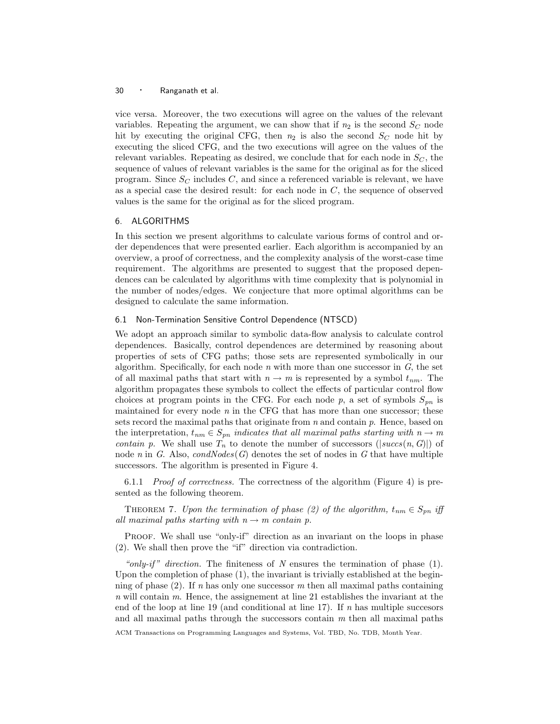vice versa. Moreover, the two executions will agree on the values of the relevant variables. Repeating the argument, we can show that if  $n_2$  is the second  $S_C$  node hit by executing the original CFG, then  $n_2$  is also the second  $S_C$  node hit by executing the sliced CFG, and the two executions will agree on the values of the relevant variables. Repeating as desired, we conclude that for each node in  $S_C$ , the sequence of values of relevant variables is the same for the original as for the sliced program. Since  $S_C$  includes C, and since a referenced variable is relevant, we have as a special case the desired result: for each node in  $C$ , the sequence of observed values is the same for the original as for the sliced program.

## 6. ALGORITHMS

In this section we present algorithms to calculate various forms of control and order dependences that were presented earlier. Each algorithm is accompanied by an overview, a proof of correctness, and the complexity analysis of the worst-case time requirement. The algorithms are presented to suggest that the proposed dependences can be calculated by algorithms with time complexity that is polynomial in the number of nodes/edges. We conjecture that more optimal algorithms can be designed to calculate the same information.

## 6.1 Non-Termination Sensitive Control Dependence (NTSCD)

We adopt an approach similar to symbolic data-flow analysis to calculate control dependences. Basically, control dependences are determined by reasoning about properties of sets of CFG paths; those sets are represented symbolically in our algorithm. Specifically, for each node  $n$  with more than one successor in  $G$ , the set of all maximal paths that start with  $n \to m$  is represented by a symbol  $t_{nm}$ . The algorithm propagates these symbols to collect the effects of particular control flow choices at program points in the CFG. For each node  $p$ , a set of symbols  $S_{pn}$  is maintained for every node  $n$  in the CFG that has more than one successor; these sets record the maximal paths that originate from  $n$  and contain  $p$ . Hence, based on the interpretation,  $t_{nm} \in S_{pn}$  indicates that all maximal paths starting with  $n \to m$ contain p. We shall use  $T_n$  to denote the number of successors ( $|success(n, G)|$ ) of node n in G. Also,  $condNodes(G)$  denotes the set of nodes in G that have multiple successors. The algorithm is presented in Figure 4.

6.1.1 Proof of correctness. The correctness of the algorithm (Figure 4) is presented as the following theorem.

THEOREM 7. Upon the termination of phase (2) of the algorithm,  $t_{nm} \in S_{pn}$  iff all maximal paths starting with  $n \rightarrow m$  contain p.

PROOF. We shall use "only-if" direction as an invariant on the loops in phase (2). We shall then prove the "if" direction via contradiction.

"only-if" direction. The finiteness of N ensures the termination of phase  $(1)$ . Upon the completion of phase (1), the invariant is trivially established at the beginning of phase  $(2)$ . If n has only one successor m then all maximal paths containing n will contain m. Hence, the assignement at line 21 establishes the invariant at the end of the loop at line 19 (and conditional at line 17). If  $n$  has multiple successors and all maximal paths through the successors contain  $m$  then all maximal paths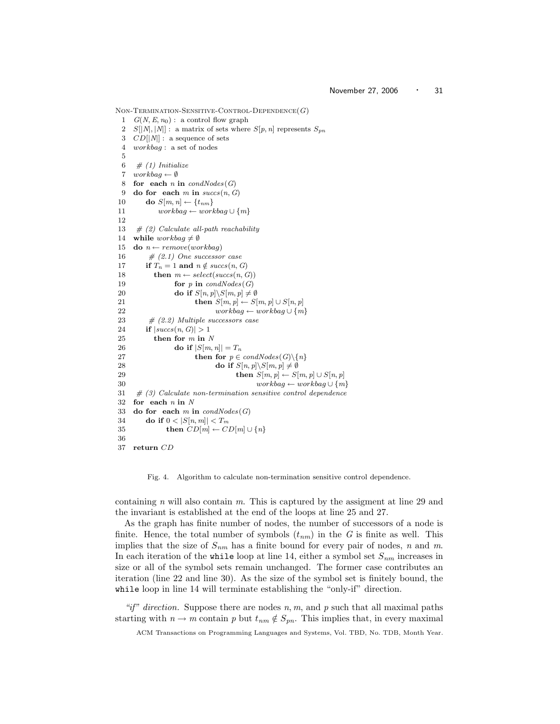NON-TERMINATION-SENSITIVE-CONTROL-DEPENDENCE $(G)$ 1  $G(N, E, n_0)$ : a control flow graph 2  $S[|N|, |N|]$ : a matrix of sets where  $S[p, n]$  represents  $S_{pn}$ 3  $CD[|N]$ : a sequence of sets 4 workbag : a set of nodes 5 6  $\#$  (1) Initialize 7 workbag  $\leftarrow \emptyset$ 8 for each n in  $condNodes(G)$ 9 do for each m in  $succs(n, G)$ 10 do  $S[m, n] \leftarrow \{t_{nm}\}$ 11 workbag ← workbag ∪ {m} 12 13  $\#$  (2) Calculate all-path reachability 14 while  $workbag \neq \emptyset$ 15 **do**  $n \leftarrow remove(wordbag)$ 16  $\#$  (2.1) One successor case 17 if  $T_n = 1$  and  $n \notin success(n, G)$ 18 then  $m \leftarrow select(succs(n, G))$ 19 **for** p in  $condNodes(G)$ 20 do if  $S[n, p] \setminus S[m, p] \neq \emptyset$ 21 then  $S[m, p] \leftarrow S[m, p] \cup S[n, p]$ 22 workbag ← workbag ∪ {m} 23  $\#$  (2.2) Multiple successors case 24 if  $|succs(n, G)| > 1$ 25 then for  $m$  in  $N$ 26 do if  $|S[m, n]| = T_n$ 27 then for  $p \in condNodes(G) \setminus \{n\}$ 28 do if  $S[n, p] \setminus S[m, p] \neq \emptyset$ 29 then  $S[m, p] \leftarrow S[m, p] \cup S[n, p]$ 30 workbag ← workbag ∪ {m}  $31$  # (3) Calculate non-termination sensitive control dependence 32 for each  $n$  in  $N$ 33 do for each m in  $condNodes(G)$ 34 **do if**  $0 < |S[n, m]| < T_m$ 35 then  $CD[m] \leftarrow CD[m] \cup \{n\}$ 36 37 return CD

Fig. 4. Algorithm to calculate non-termination sensitive control dependence.

containing n will also contain m. This is captured by the assigment at line 29 and the invariant is established at the end of the loops at line 25 and 27.

As the graph has finite number of nodes, the number of successors of a node is finite. Hence, the total number of symbols  $(t_{nm})$  in the G is finite as well. This implies that the size of  $S_{nm}$  has a finite bound for every pair of nodes, n and m. In each iteration of the while loop at line 14, either a symbol set  $S_{nm}$  increases in size or all of the symbol sets remain unchanged. The former case contributes an iteration (line 22 and line 30). As the size of the symbol set is finitely bound, the while loop in line 14 will terminate establishing the "only-if" direction.

"if" direction. Suppose there are nodes  $n, m$ , and p such that all maximal paths starting with  $n \to m$  contain p but  $t_{nm} \notin S_{pn}$ . This implies that, in every maximal

ACM Transactions on Programming Languages and Systems, Vol. TBD, No. TDB, Month Year.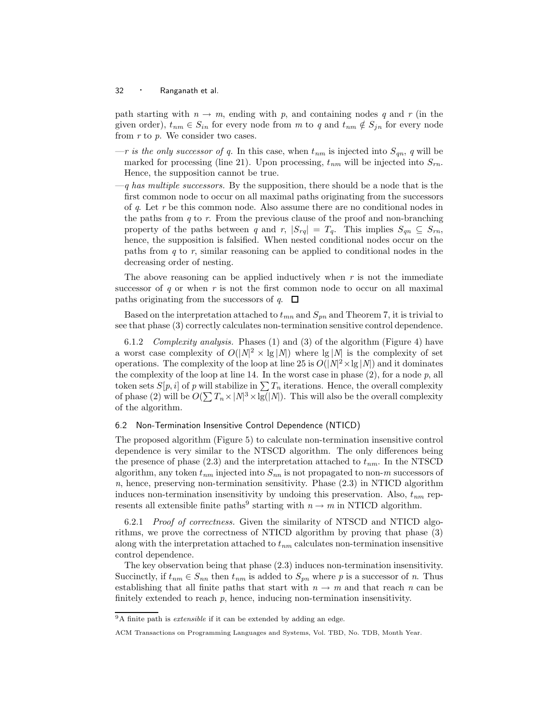path starting with  $n \to m$ , ending with p, and containing nodes q and r (in the given order),  $t_{nm} \in S_{in}$  for every node from m to q and  $t_{nm} \notin S_{in}$  for every node from  $r$  to  $p$ . We consider two cases.

- —r is the only successor of q. In this case, when  $t_{nm}$  is injected into  $S_{qn}$ , q will be marked for processing (line 21). Upon processing,  $t_{nm}$  will be injected into  $S_{rn}$ . Hence, the supposition cannot be true.
- $-q$  has multiple successors. By the supposition, there should be a node that is the first common node to occur on all maximal paths originating from the successors of q. Let r be this common node. Also assume there are no conditional nodes in the paths from  $q$  to  $r$ . From the previous clause of the proof and non-branching property of the paths between q and r,  $|S_{rq}| = T_q$ . This implies  $S_{qn} \subseteq S_{rn}$ , hence, the supposition is falsified. When nested conditional nodes occur on the paths from  $q$  to  $r$ , similar reasoning can be applied to conditional nodes in the decreasing order of nesting.

The above reasoning can be applied inductively when  $r$  is not the immediate successor of q or when r is not the first common node to occur on all maximal paths originating from the successors of  $q$ .  $\Box$ 

Based on the interpretation attached to  $t_{mn}$  and  $S_{pn}$  and Theorem 7, it is trivial to see that phase (3) correctly calculates non-termination sensitive control dependence.

6.1.2 Complexity analysis. Phases (1) and (3) of the algorithm (Figure 4) have a worst case complexity of  $O(|N|^2 \times \lg |N|)$  where  $\lg |N|$  is the complexity of set operations. The complexity of the loop at line 25 is  $O(|N|^2 \times \lg |N|)$  and it dominates the complexity of the loop at line  $14$ . In the worst case in phase  $(2)$ , for a node  $p$ , all token sets  $S[p, i]$  of p will stabilize in  $\sum T_n$  iterations. Hence, the overall complexity of phase (2) will be  $O(\sum T_n \times |N|^3 \times \lg(|N|))$ . This will also be the overall complexity of the algorithm.

## 6.2 Non-Termination Insensitive Control Dependence (NTICD)

The proposed algorithm (Figure 5) to calculate non-termination insensitive control dependence is very similar to the NTSCD algorithm. The only differences being the presence of phase  $(2.3)$  and the interpretation attached to  $t_{nm}$ . In the NTSCD algorithm, any token  $t_{nm}$  injected into  $S_{nn}$  is not propagated to non-m successors of n, hence, preserving non-termination sensitivity. Phase (2.3) in NTICD algorithm induces non-termination insensitivity by undoing this preservation. Also,  $t_{nm}$  represents all extensible finite paths<sup>9</sup> starting with  $n \to m$  in NTICD algorithm.

6.2.1 Proof of correctness. Given the similarity of NTSCD and NTICD algorithms, we prove the correctness of NTICD algorithm by proving that phase (3) along with the interpretation attached to  $t_{nm}$  calculates non-termination insensitive control dependence.

The key observation being that phase (2.3) induces non-termination insensitivity. Succinctly, if  $t_{nm} \in S_{nn}$  then  $t_{nm}$  is added to  $S_{pn}$  where p is a successor of n. Thus establishing that all finite paths that start with  $n \to m$  and that reach n can be finitely extended to reach  $p$ , hence, inducing non-termination insensitivity.

 $9A$  finite path is *extensible* if it can be extended by adding an edge.

ACM Transactions on Programming Languages and Systems, Vol. TBD, No. TDB, Month Year.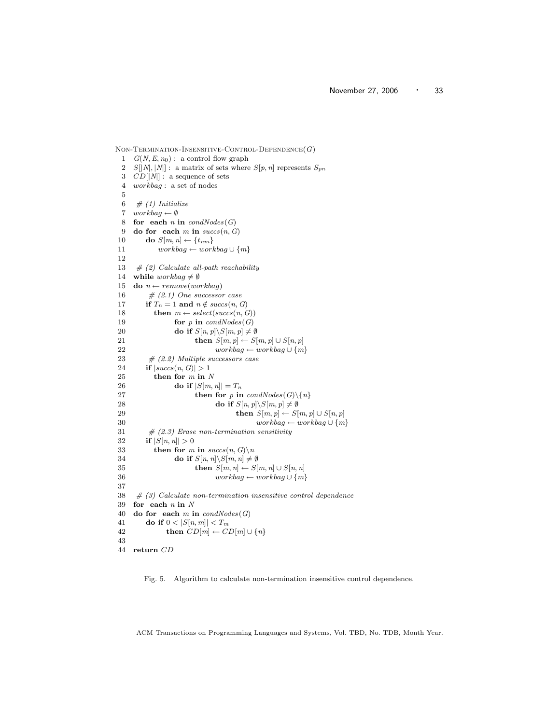NON-TERMINATION-INSENSITIVE-CONTROL-DEPENDENCE $(G)$ 

1  $G(N, E, n_0)$ : a control flow graph 2  $S[|N|, |N|]$ : a matrix of sets where  $S[p, n]$  represents  $S_{pn}$ 3  $CD[|N|]$ : a sequence of sets 4 workbag : a set of nodes 5 6  $# (1)$  Initialize 7  $workbag \leftarrow \emptyset$ 8 for each n in  $condNodes(G)$ 9 do for each m in  $succs(n, G)$ 10 do  $S[m, n] \leftarrow \{t_{nm}\}$ 11 workbag ← workbag ∪ {m} 12 13  $\#$  (2) Calculate all-path reachability 14 while  $workbag \neq \emptyset$ 15 do  $n \leftarrow remove(wordkbag)$ 16  $\#$  (2.1) One successor case 17 if  $T_n = 1$  and  $n \notin success(n, G)$ 18 **then**  $m \leftarrow select(succ(s), G)$ 19 **for** p in  $condNodes(G)$ 20 do if  $S[n, p] \setminus S[m, p] \neq \emptyset$ 21 then  $S[m, p] \leftarrow S[m, p] \cup S[n, p]$ 22 workbag ← workbag ∪ {m} 23  $\#$  (2.2) Multiple successors case 24 if  $|succs(n, G)| > 1$ <br>25 then for *m* in *l* then for  $m$  in  $N$ 26 **do if**  $|S[m, n]| = T_n$ 27 then for p in  $condNodes(G)\setminus\{n\}$ 28 do if  $S[n, p] \setminus S[m, p] \neq \emptyset$ 29 then  $S[m, p] \leftarrow S[m, p] \cup S[n, p]$ 30 workbag ← workbag ∪ { $m$ } 31  $\#$  (2.3) Erase non-termination sensitivity 32 if  $|S[n, n]| > 0$ 33 then for m in  $succs(n, G)\$ n 34 do if  $S[n, n] \setminus S[m, n] \neq \emptyset$ 35 **then**  $S[m, n] \leftarrow S[m, n] \cup S[n, n]$ 36  $workbag \leftarrow workbag \cup \{m\}$ 37  $38$  # (3) Calculate non-termination insensitive control dependence 39 for each  $n$  in  $N$ 40 do for each  $m$  in  $condNodes(G)$ 41 **do if**  $0 < |S[n, m]| < T_m$ 42 then  $CD[m] \leftarrow CD[m] \cup \{n\}$ 43 44 return CD

Fig. 5. Algorithm to calculate non-termination insensitive control dependence.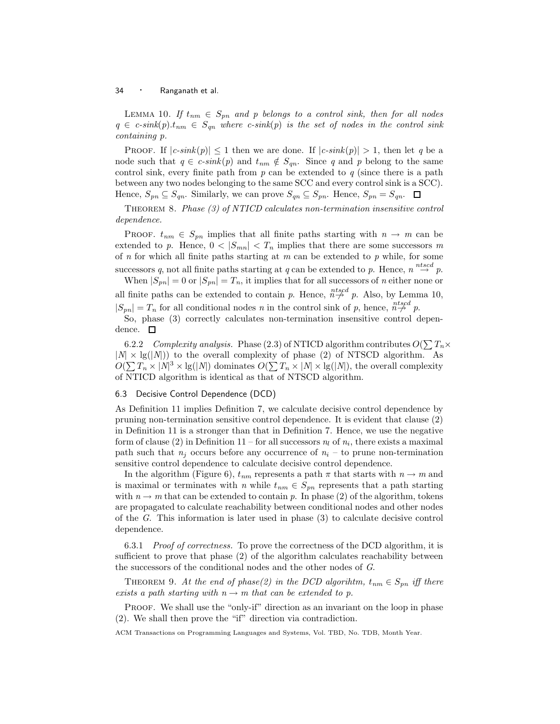LEMMA 10. If  $t_{nm} \in S_{pn}$  and p belongs to a control sink, then for all nodes  $q \in c\text{-}sink(p).$   $t_{nm} \in S_{qn}$  where  $c\text{-}sink(p)$  is the set of nodes in the control sink containing p.

PROOF. If  $|c\text{-}sink(p)| \leq 1$  then we are done. If  $|c\text{-}sink(p)| > 1$ , then let q be a node such that  $q \in c\text{-}sink(p)$  and  $t_{nm} \notin S_{qn}$ . Since q and p belong to the same control sink, every finite path from  $p$  can be extended to  $q$  (since there is a path between any two nodes belonging to the same SCC and every control sink is a SCC). Hence,  $S_{pn} \subseteq S_{qn}$ . Similarly, we can prove  $S_{qn} \subseteq S_{pn}$ . Hence,  $S_{pn} = S_{qn}$ .  $\Box$ 

THEOREM 8. Phase  $(3)$  of NTICD calculates non-termination insensitive control dependence.

PROOF.  $t_{nm} \in S_{pn}$  implies that all finite paths starting with  $n \to m$  can be extended to p. Hence,  $0 < |S_{mn}| < T_n$  implies that there are some successors m of  $n$  for which all finite paths starting at  $m$  can be extended to  $p$  while, for some successors q, not all finite paths starting at q can be extended to p. Hence,  $n \stackrel{ntscd}{\rightarrow} p$ .

When  $|S_{pn}| = 0$  or  $|S_{pn}| = T_n$ , it implies that for all successors of *n* either none or all finite paths can be extended to contain p. Hence,  $\eta \stackrel{ntscd}{\rightarrow} p$ . Also, by Lemma 10,  $|S_{pn}| = T_n$  for all conditional nodes n in the control sink of p, hence,  $\lim_{n \to \infty} \frac{n \cdot \text{tsgd}}{p}$ .

So, phase (3) correctly calculates non-termination insensitive control dependence.  $\Box$ 

6.2.2 Complexity analysis. Phase (2.3) of NTICD algorithm contributes  $O(\sum T_n \times$  $|N| \times \lg(|N|)$  to the overall complexity of phase (2) of NTSCD algorithm. As  $O(\sum T_n \times |N|^3 \times \lg(|N|))$  dominates  $O(\sum T_n \times |N| \times \lg(|N|))$ , the overall complexity of NTICD algorithm is identical as that of NTSCD algorithm.

## 6.3 Decisive Control Dependence (DCD)

As Definition 11 implies Definition 7, we calculate decisive control dependence by pruning non-termination sensitive control dependence. It is evident that clause (2) in Definition 11 is a stronger than that in Definition 7. Hence, we use the negative form of clause (2) in Definition 11 – for all successors  $n_l$  of  $n_i$ , there exists a maximal path such that  $n_j$  occurs before any occurrence of  $n_i$  – to prune non-termination sensitive control dependence to calculate decisive control dependence.

In the algorithm (Figure 6),  $t_{nm}$  represents a path  $\pi$  that starts with  $n \to m$  and is maximal or terminates with n while  $t_{nm} \in S_{pn}$  represents that a path starting with  $n \to m$  that can be extended to contain p. In phase (2) of the algorithm, tokens are propagated to calculate reachability between conditional nodes and other nodes of the G. This information is later used in phase (3) to calculate decisive control dependence.

6.3.1 Proof of correctness. To prove the correctness of the DCD algorithm, it is sufficient to prove that phase (2) of the algorithm calculates reachability between the successors of the conditional nodes and the other nodes of G.

THEOREM 9. At the end of phase(2) in the DCD algorihtm,  $t_{nm} \in S_{pn}$  iff there exists a path starting with  $n \rightarrow m$  that can be extended to p.

PROOF. We shall use the "only-if" direction as an invariant on the loop in phase (2). We shall then prove the "if" direction via contradiction.

ACM Transactions on Programming Languages and Systems, Vol. TBD, No. TDB, Month Year.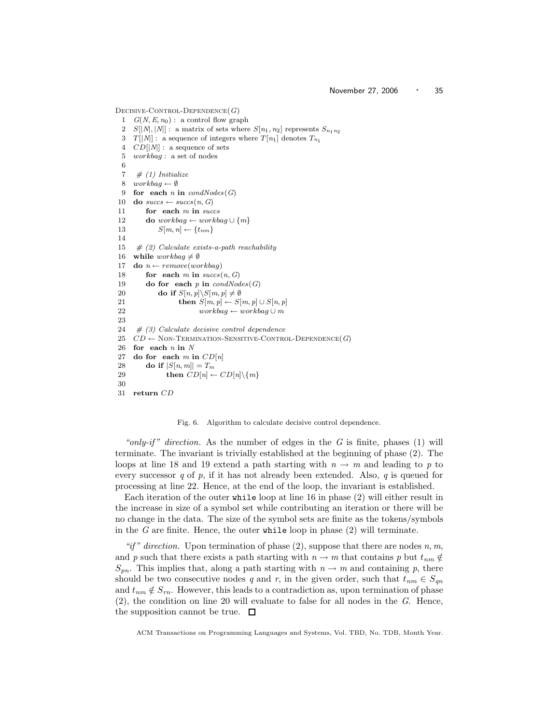DECISIVE-CONTROL-DEPENDENCE $(G)$ 

1  $G(N, E, n_0)$ : a control flow graph 2  $S[|N|, |N|]$ : a matrix of sets where  $S[n_1, n_2]$  represents  $S_{n_1 n_2}$ 3  $T[|N]$ : a sequence of integers where  $T[n_1]$  denotes  $T_{n_1}$ 4  $CD[|N|]$ : a sequence of sets 5 workbag : a set of nodes 6 7  $\#$  (1) Initialize 8 workbag  $\leftarrow \emptyset$ 9 for each n in  $condNodes(G)$ 10 do  $success \leftarrow success(n, G)$ 11 for each *m* in succs 12 do workbag ← workbag ∪ {m} 13  $S[m, n] \leftarrow \{t_{nm}\}$ 14 15  $\#$  (2) Calculate exists-a-path reachability 16 while  $workbag \neq \emptyset$ 17 do  $n \leftarrow remove(wordbag)$ 18 for each m in  $succs(n, G)$ 19 do for each  $p$  in  $condNodes(G)$ 20 **do if**  $S[n, p] \setminus S[m, p] \neq \emptyset$ 21 then  $S[m, p] \leftarrow S[m, p] \cup S[n, p]$ 22 workbag ← workbag ∪ m 23  $24 \# (3)$  Calculate decisive control dependence  $25$   $CD \leftarrow$  Non-Termination-Sensitive-Control-Dependence(G) 26 for each  $n$  in  $N$ 27 do for each  $m$  in  $CD[n]$ 28 do if  $|S[n, m]| = T_m$ <br>29 then  $CD[n] \leftarrow$ then  $CD[n] \leftarrow CD[n] \setminus \{m\}$ 30 31 return CD

Fig. 6. Algorithm to calculate decisive control dependence.

"only-if" direction. As the number of edges in the G is finite, phases  $(1)$  will terminate. The invariant is trivially established at the beginning of phase (2). The loops at line 18 and 19 extend a path starting with  $n \to m$  and leading to p to every successor q of p, if it has not already been extended. Also, q is queued for processing at line 22. Hence, at the end of the loop, the invariant is established.

Each iteration of the outer while loop at line 16 in phase (2) will either result in the increase in size of a symbol set while contributing an iteration or there will be no change in the data. The size of the symbol sets are finite as the tokens/symbols in the G are finite. Hence, the outer while loop in phase  $(2)$  will terminate.

"if" direction. Upon termination of phase  $(2)$ , suppose that there are nodes n, m, and p such that there exists a path starting with  $n \to m$  that contains p but  $t_{nm} \notin$  $S_{pn}$ . This implies that, along a path starting with  $n \to m$  and containing p, there should be two consecutive nodes q and r, in the given order, such that  $t_{nm} \in S_{qn}$ and  $t_{nm} \notin S_{rn}$ . However, this leads to a contradiction as, upon termination of phase  $(2)$ , the condition on line 20 will evaluate to false for all nodes in the  $G$ . Hence, the supposition cannot be true.  $\Box$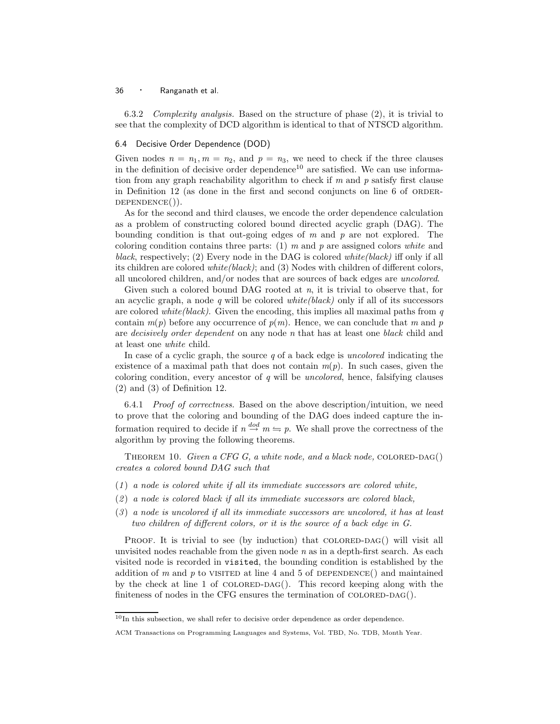6.3.2 Complexity analysis. Based on the structure of phase (2), it is trivial to see that the complexity of DCD algorithm is identical to that of NTSCD algorithm.

# 6.4 Decisive Order Dependence (DOD)

Given nodes  $n = n_1, m = n_2$ , and  $p = n_3$ , we need to check if the three clauses in the definition of decisive order dependence<sup>10</sup> are satisfied. We can use information from any graph reachability algorithm to check if  $m$  and  $p$  satisfy first clause in Definition 12 (as done in the first and second conjuncts on line 6 of ORDER- $DEPENDENCE()$ .

As for the second and third clauses, we encode the order dependence calculation as a problem of constructing colored bound directed acyclic graph (DAG). The bounding condition is that out-going edges of  $m$  and  $p$  are not explored. The coloring condition contains three parts:  $(1)$  m and p are assigned colors white and black, respectively; (2) Every node in the DAG is colored white (black) iff only if all its children are colored *white(black)*; and  $(3)$  Nodes with children of different colors, all uncolored children, and/or nodes that are sources of back edges are uncolored.

Given such a colored bound DAG rooted at  $n$ , it is trivial to observe that, for an acyclic graph, a node  $q$  will be colored *white(black)* only if all of its successors are colored white(black). Given the encoding, this implies all maximal paths from  $q$ contain  $m(p)$  before any occurrence of  $p(m)$ . Hence, we can conclude that m and p are *decisively order dependent* on any node n that has at least one *black* child and at least one white child.

In case of a cyclic graph, the source  $q$  of a back edge is uncolored indicating the existence of a maximal path that does not contain  $m(p)$ . In such cases, given the coloring condition, every ancestor of  $q$  will be *uncolored*, hence, falsifying clauses (2) and (3) of Definition 12.

6.4.1 Proof of correctness. Based on the above description/intuition, we need to prove that the coloring and bounding of the DAG does indeed capture the information required to decide if  $n \stackrel{dod}{\rightarrow} m \rightleftharpoons p$ . We shall prove the correctness of the algorithm by proving the following theorems.

THEOREM 10. Given a CFG G, a white node, and a black node, COLORED-DAG() creates a colored bound DAG such that

- (1) a node is colored white if all its immediate successors are colored white,
- (2) a node is colored black if all its immediate successors are colored black,
- (3) a node is uncolored if all its immediate successors are uncolored, it has at least two children of different colors, or it is the source of a back edge in G.

PROOF. It is trivial to see (by induction) that  $\text{COLORED-DAG}$ ) will visit all unvisited nodes reachable from the given node  $n$  as in a depth-first search. As each visited node is recorded in visited, the bounding condition is established by the addition of m and p to VISITED at line 4 and 5 of DEPENDENCE() and maintained by the check at line 1 of  $\text{COLORED-DAG}$ . This record keeping along with the finiteness of nodes in the CFG ensures the termination of  $\text{COLORED-DAG}$ .

 $10$ In this subsection, we shall refer to decisive order dependence as order dependence.

ACM Transactions on Programming Languages and Systems, Vol. TBD, No. TDB, Month Year.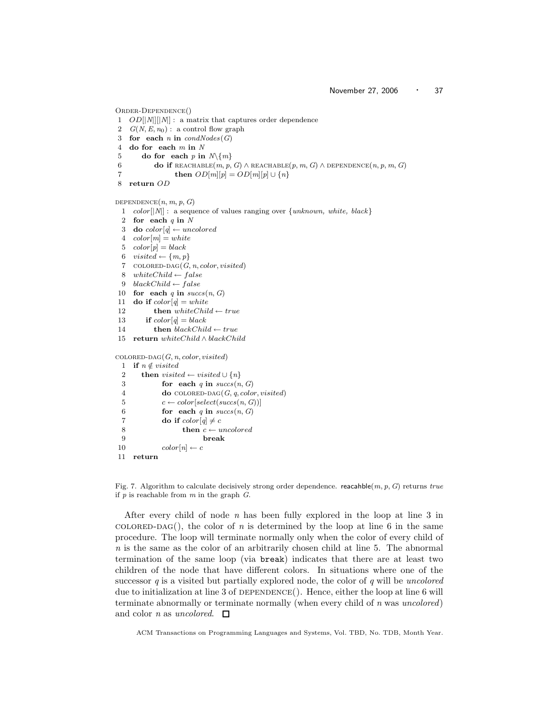```
Order-Dependence()
1 OD[|N|][|N|]: a matrix that captures order dependence
2 G(N, E, n_0): a control flow graph
3 for each n in condNodes(G)4 do for each m in N
5 do for each p in N\{m\}6 do if REACHABLE(m, p, G) \wedge REACHABLE(p, m, G) \wedge DEPENDENCE(n, p, m, G)7 then OD[m][p] = OD[m][p] \cup \{n\}8 return OD
DEPENDENCE(n, m, p, G)1 color[|N|]: a sequence of values ranging over \{unknown, white, black\}2 for each q in N3 do color[q] \leftarrow uncolored4 color[m] = white5 color[p] = black6 visited \leftarrow \{m, p\}7 \text{COLORED-}\text{DAG}(G, n, color, visited)8 whiteChild \leftarrow false
 9 blackChild \leftarrow false10 for each q in succs(n, G)11 do if color[q] = white12 then whiteChild \leftarrow true13 if color[q] = black14 then blackChild \leftarrow true15 return whiteChild ∧ blackChild
\text{COLORED-}\text{DAG}(G, n, color, visited)1 if n \notin visited2 then visited ← visited ∪ {n}
 3 for each q in success(n, G)4 do COLORED-DAG(G, q, color, visited)
 5 c \leftarrow color[select(succ(n, G))]6 for each q in succs(n, G)7 do if color[q] \neq c8 then c \leftarrow uncolored9 break
10 color[n] \leftarrow c
```

```
11 return
```
Fig. 7. Algorithm to calculate decisively strong order dependence. reacahble $(m, p, G)$  returns true if  $p$  is reachable from  $m$  in the graph  $G$ .

After every child of node  $n$  has been fully explored in the loop at line 3 in  $\text{COLORED-}\text{DAG}$ ), the color of n is determined by the loop at line 6 in the same procedure. The loop will terminate normally only when the color of every child of  $n$  is the same as the color of an arbitrarily chosen child at line 5. The abnormal termination of the same loop (via break) indicates that there are at least two children of the node that have different colors. In situations where one of the successor q is a visited but partially explored node, the color of q will be uncolored due to initialization at line 3 of DEPENDENCE(). Hence, either the loop at line 6 will terminate abnormally or terminate normally (when every child of n was uncolored) and color n as uncolored.  $\square$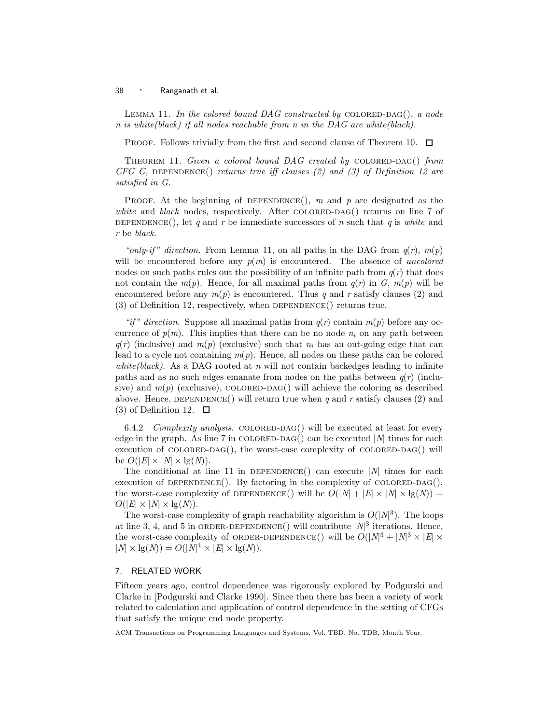LEMMA 11. In the colored bound DAG constructed by COLORED-DAG(), a node n is white(black) if all nodes reachable from n in the DAG are white(black).

PROOF. Follows trivially from the first and second clause of Theorem 10.  $\Box$ 

THEOREM 11. Given a colored bound DAG created by COLORED-DAG() from CFG G, DEPENDENCE() returns true iff clauses (2) and (3) of Definition 12 are satisfied in G.

PROOF. At the beginning of DEPENDENCE(), m and p are designated as the white and black nodes, respectively. After  $\text{COLORED-DAG}$  returns on line 7 of DEPENDENCE(), let q and r be immediate successors of n such that q is white and r be black.

"only-if" direction. From Lemma 11, on all paths in the DAG from  $q(r)$ ,  $m(p)$ will be encountered before any  $p(m)$  is encountered. The absence of uncolored nodes on such paths rules out the possibility of an infinite path from  $q(r)$  that does not contain the  $m(p)$ . Hence, for all maximal paths from  $q(r)$  in G,  $m(p)$  will be encountered before any  $m(p)$  is encountered. Thus q and r satisfy clauses (2) and (3) of Definition 12, respectively, when dependence() returns true.

"if" direction. Suppose all maximal paths from  $q(r)$  contain  $m(p)$  before any occurrence of  $p(m)$ . This implies that there can be no node  $n_i$  on any path between  $q(r)$  (inclusive) and  $m(p)$  (exclusive) such that  $n_i$  has an out-going edge that can lead to a cycle not containing  $m(p)$ . Hence, all nodes on these paths can be colored white(black). As a DAG rooted at n will not contain backedges leading to infinite paths and as no such edges emanate from nodes on the paths between  $q(r)$  (inclusive) and  $m(p)$  (exclusive), COLORED-DAG() will achieve the coloring as described above. Hence, DEPENDENCE() will return true when q and r satisfy clauses (2) and  $(3)$  of Definition 12.  $\Box$ 

6.4.2 Complexity analysis. COLORED-DAG() will be executed at least for every edge in the graph. As line 7 in COLORED-DAG() can be executed  $|N|$  times for each execution of  $\text{COLORED-DAG}$ ), the worst-case complexity of  $\text{COLORED-DAG}$ ) will be  $O(|E| \times |N| \times \lg(N)).$ 

The conditional at line 11 in DEPENDENCE() can execute  $|N|$  times for each execution of  $DEPENDENCE()$ . By factoring in the complexity of COLORED-DAG $(),$ the worst-case complexity of DEPENDENCE() will be  $O(|N| + |E| \times |N| \times \lg(N)) =$  $O(|E| \times |N| \times \lg(N)).$ 

The worst-case complexity of graph reachability algorithm is  $O(|N|^3)$ . The loops at line 3, 4, and 5 in ORDER-DEPENDENCE() will contribute  $|N|^3$  iterations. Hence, the worst-case complexity of ORDER-DEPENDENCE() will be  $O(|N|^3 + |N|^3 \times |E| \times$  $|N| \times \lg(N)) = O(|N|^4 \times |E| \times \lg(N)).$ 

#### 7. RELATED WORK

Fifteen years ago, control dependence was rigorously explored by Podgurski and Clarke in [Podgurski and Clarke 1990]. Since then there has been a variety of work related to calculation and application of control dependence in the setting of CFGs that satisfy the unique end node property.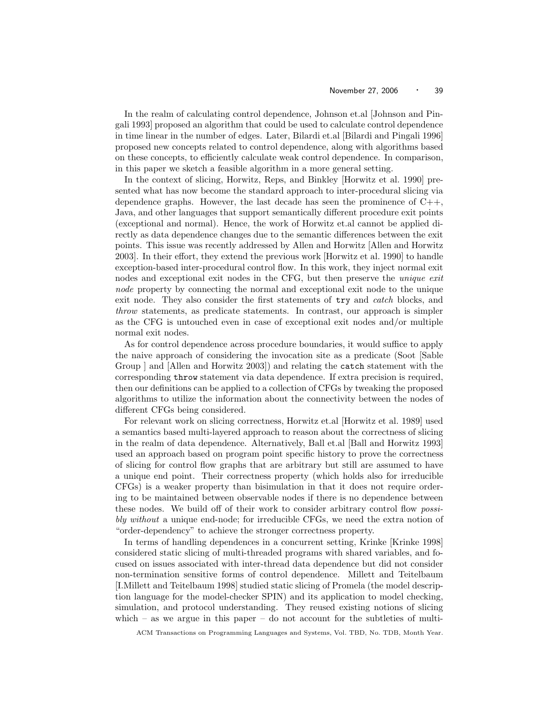In the realm of calculating control dependence, Johnson et.al [Johnson and Pingali 1993] proposed an algorithm that could be used to calculate control dependence in time linear in the number of edges. Later, Bilardi et.al [Bilardi and Pingali 1996] proposed new concepts related to control dependence, along with algorithms based on these concepts, to efficiently calculate weak control dependence. In comparison, in this paper we sketch a feasible algorithm in a more general setting.

In the context of slicing, Horwitz, Reps, and Binkley [Horwitz et al. 1990] presented what has now become the standard approach to inter-procedural slicing via dependence graphs. However, the last decade has seen the prominence of C++, Java, and other languages that support semantically different procedure exit points (exceptional and normal). Hence, the work of Horwitz et.al cannot be applied directly as data dependence changes due to the semantic differences between the exit points. This issue was recently addressed by Allen and Horwitz [Allen and Horwitz 2003]. In their effort, they extend the previous work [Horwitz et al. 1990] to handle exception-based inter-procedural control flow. In this work, they inject normal exit nodes and exceptional exit nodes in the CFG, but then preserve the unique exit node property by connecting the normal and exceptional exit node to the unique exit node. They also consider the first statements of  $try$  and *catch* blocks, and throw statements, as predicate statements. In contrast, our approach is simpler as the CFG is untouched even in case of exceptional exit nodes and/or multiple normal exit nodes.

As for control dependence across procedure boundaries, it would suffice to apply the naive approach of considering the invocation site as a predicate (Soot [Sable Group ] and [Allen and Horwitz 2003]) and relating the catch statement with the corresponding throw statement via data dependence. If extra precision is required, then our definitions can be applied to a collection of CFGs by tweaking the proposed algorithms to utilize the information about the connectivity between the nodes of different CFGs being considered.

For relevant work on slicing correctness, Horwitz et.al [Horwitz et al. 1989] used a semantics based multi-layered approach to reason about the correctness of slicing in the realm of data dependence. Alternatively, Ball et.al [Ball and Horwitz 1993] used an approach based on program point specific history to prove the correctness of slicing for control flow graphs that are arbitrary but still are assumed to have a unique end point. Their correctness property (which holds also for irreducible CFGs) is a weaker property than bisimulation in that it does not require ordering to be maintained between observable nodes if there is no dependence between these nodes. We build off of their work to consider arbitrary control flow possibly without a unique end-node; for irreducible CFGs, we need the extra notion of "order-dependency" to achieve the stronger correctness property.

In terms of handling dependences in a concurrent setting, Krinke [Krinke 1998] considered static slicing of multi-threaded programs with shared variables, and focused on issues associated with inter-thread data dependence but did not consider non-termination sensitive forms of control dependence. Millett and Teitelbaum [I.Millett and Teitelbaum 1998] studied static slicing of Promela (the model description language for the model-checker SPIN) and its application to model checking, simulation, and protocol understanding. They reused existing notions of slicing which – as we argue in this paper – do not account for the subtleties of multi-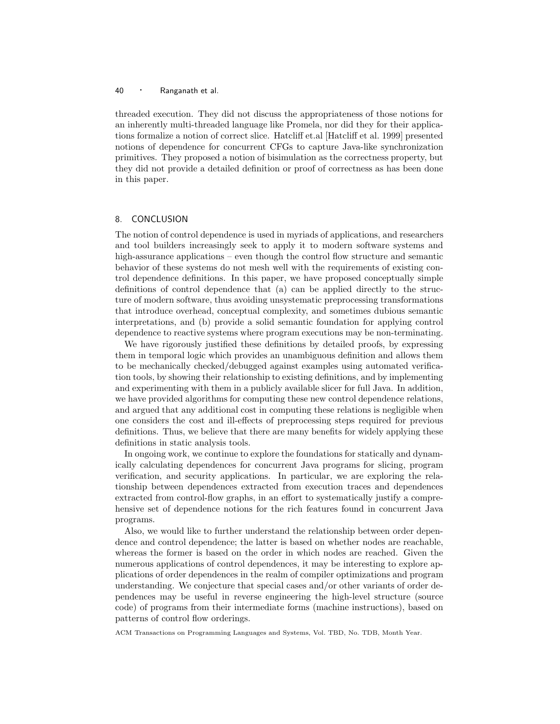threaded execution. They did not discuss the appropriateness of those notions for an inherently multi-threaded language like Promela, nor did they for their applications formalize a notion of correct slice. Hatcliff et.al [Hatcliff et al. 1999] presented notions of dependence for concurrent CFGs to capture Java-like synchronization primitives. They proposed a notion of bisimulation as the correctness property, but they did not provide a detailed definition or proof of correctness as has been done in this paper.

#### 8. CONCLUSION

The notion of control dependence is used in myriads of applications, and researchers and tool builders increasingly seek to apply it to modern software systems and high-assurance applications – even though the control flow structure and semantic behavior of these systems do not mesh well with the requirements of existing control dependence definitions. In this paper, we have proposed conceptually simple definitions of control dependence that (a) can be applied directly to the structure of modern software, thus avoiding unsystematic preprocessing transformations that introduce overhead, conceptual complexity, and sometimes dubious semantic interpretations, and (b) provide a solid semantic foundation for applying control dependence to reactive systems where program executions may be non-terminating.

We have rigorously justified these definitions by detailed proofs, by expressing them in temporal logic which provides an unambiguous definition and allows them to be mechanically checked/debugged against examples using automated verification tools, by showing their relationship to existing definitions, and by implementing and experimenting with them in a publicly available slicer for full Java. In addition, we have provided algorithms for computing these new control dependence relations, and argued that any additional cost in computing these relations is negligible when one considers the cost and ill-effects of preprocessing steps required for previous definitions. Thus, we believe that there are many benefits for widely applying these definitions in static analysis tools.

In ongoing work, we continue to explore the foundations for statically and dynamically calculating dependences for concurrent Java programs for slicing, program verification, and security applications. In particular, we are exploring the relationship between dependences extracted from execution traces and dependences extracted from control-flow graphs, in an effort to systematically justify a comprehensive set of dependence notions for the rich features found in concurrent Java programs.

Also, we would like to further understand the relationship between order dependence and control dependence; the latter is based on whether nodes are reachable, whereas the former is based on the order in which nodes are reached. Given the numerous applications of control dependences, it may be interesting to explore applications of order dependences in the realm of compiler optimizations and program understanding. We conjecture that special cases and/or other variants of order dependences may be useful in reverse engineering the high-level structure (source code) of programs from their intermediate forms (machine instructions), based on patterns of control flow orderings.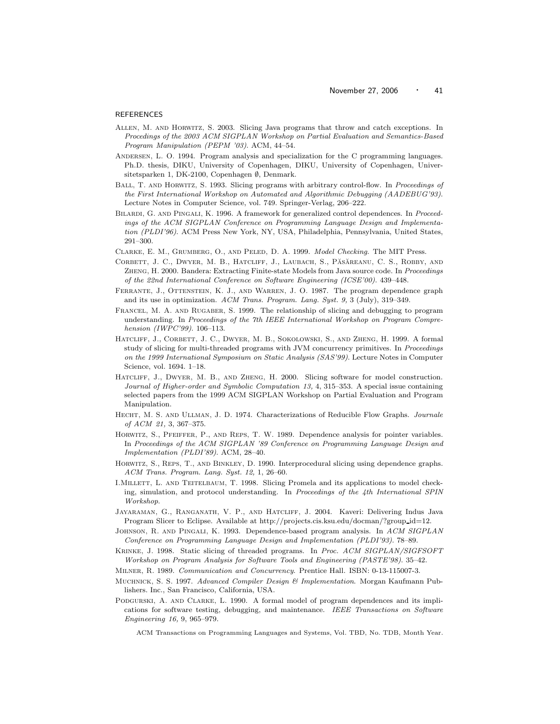#### **REFERENCES**

- Allen, M. and Horwitz, S. 2003. Slicing Java programs that throw and catch exceptions. In Procedings of the 2003 ACM SIGPLAN Workshop on Partial Evaluation and Semantics-Based Program Manipulation (PEPM '03). ACM, 44–54.
- ANDERSEN, L. O. 1994. Program analysis and specialization for the C programming languages. Ph.D. thesis, DIKU, University of Copenhagen, DIKU, University of Copenhagen, Universitetsparken 1, DK-2100, Copenhagen ∅, Denmark.
- BALL, T. AND HORWITZ, S. 1993. Slicing programs with arbitrary control-flow. In Proceedings of the First International Workshop on Automated and Algorithmic Debugging (AADEBUG'93). Lecture Notes in Computer Science, vol. 749. Springer-Verlag, 206–222.
- BILARDI, G. AND PINGALI, K. 1996. A framework for generalized control dependences. In Proceedings of the ACM SIGPLAN Conference on Programming Language Design and Implementation (PLDI'96). ACM Press New York, NY, USA, Philadelphia, Pennsylvania, United States, 291–300.
- Clarke, E. M., Grumberg, O., and Peled, D. A. 1999. Model Checking. The MIT Press.
- CORBETT, J. C., DWYER, M. B., HATCLIFF, J., LAUBACH, S., PĂSĂREANU, C. S., ROBBY, AND Zheng, H. 2000. Bandera: Extracting Finite-state Models from Java source code. In Proceedings of the 22nd International Conference on Software Engineering (ICSE'00). 439–448.
- Ferrante, J., Ottenstein, K. J., and Warren, J. O. 1987. The program dependence graph and its use in optimization. ACM Trans. Program. Lang. Syst. 9, 3 (July), 319–349.
- Francel, M. A. and Rugaber, S. 1999. The relationship of slicing and debugging to program understanding. In Proceedings of the 7th IEEE International Workshop on Program Comprehension (IWPC'99). 106–113.
- HATCLIFF, J., CORBETT, J. C., DWYER, M. B., SOKOLOWSKI, S., AND ZHENG, H. 1999. A formal study of slicing for multi-threaded programs with JVM concurrency primitives. In Proceedings on the 1999 International Symposium on Static Analysis (SAS'99). Lecture Notes in Computer Science, vol. 1694. 1–18.
- HATCLIFF, J., DWYER, M. B., AND ZHENG, H. 2000. Slicing software for model construction. Journal of Higher-order and Symbolic Computation 13, 4, 315–353. A special issue containing selected papers from the 1999 ACM SIGPLAN Workshop on Partial Evaluation and Program Manipulation.
- HECHT, M. S. AND ULLMAN, J. D. 1974. Characterizations of Reducible Flow Graphs. Journale of ACM 21, 3, 367–375.
- Horwitz, S., Pfeiffer, P., and Reps, T. W. 1989. Dependence analysis for pointer variables. In Proceedings of the ACM SIGPLAN '89 Conference on Programming Language Design and Implementation (PLDI'89). ACM, 28–40.
- HORWITZ, S., REPS, T., AND BINKLEY, D. 1990. Interprocedural slicing using dependence graphs. ACM Trans. Program. Lang. Syst. 12, 1, 26–60.
- I.Millett, L. and Teitelbaum, T. 1998. Slicing Promela and its applications to model checking, simulation, and protocol understanding. In Proceedings of the 4th International SPIN Workshop.
- Jayaraman, G., Ranganath, V. P., and Hatcliff, J. 2004. Kaveri: Delivering Indus Java Program Slicer to Eclipse. Available at http://projects.cis.ksu.edu/docman/?group id=12.
- Johnson, R. and Pingali, K. 1993. Dependence-based program analysis. In ACM SIGPLAN Conference on Programming Language Design and Implementation (PLDI'93). 78–89.
- Krinke, J. 1998. Static slicing of threaded programs. In Proc. ACM SIGPLAN/SIGFSOFT Workshop on Program Analysis for Software Tools and Engineering (PASTE'98). 35–42.
- Milner, R. 1989. Communication and Concurrency. Prentice Hall. ISBN: 0-13-115007-3.
- MUCHNICK, S. S. 1997. Advanced Compiler Design & Implementation. Morgan Kaufmann Publishers. Inc., San Francisco, California, USA.
- PODGURSKI, A. AND CLARKE, L. 1990. A formal model of program dependences and its implications for software testing, debugging, and maintenance. IEEE Transactions on Software Engineering 16, 9, 965–979.